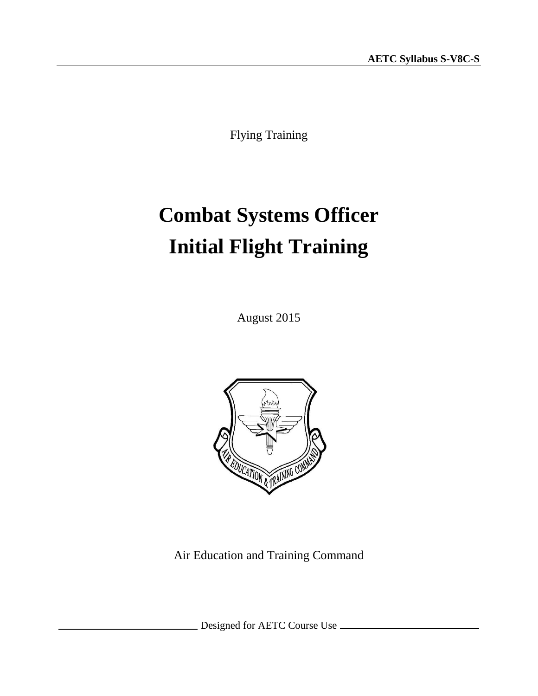Flying Training

# **Combat Systems Officer Initial Flight Training**

August 2015



Air Education and Training Command

Designed for AETC Course Use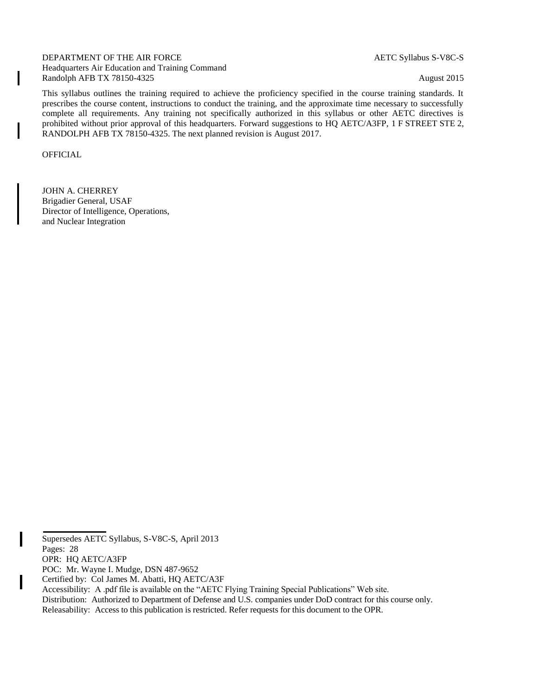DEPARTMENT OF THE AIR FORCE AETC Syllabus S-V8C-S Headquarters Air Education and Training Command Randolph AFB TX 78150-4325 August 2015

This syllabus outlines the training required to achieve the proficiency specified in the course training standards. It prescribes the course content, instructions to conduct the training, and the approximate time necessary to successfully complete all requirements. Any training not specifically authorized in this syllabus or other AETC directives is prohibited without prior approval of this headquarters. Forward suggestions to HQ AETC/A3FP, 1 F STREET STE 2, RANDOLPH AFB TX 78150-4325. The next planned revision is August 2017.

OFFICIAL

JOHN A. CHERREY Brigadier General, USAF Director of Intelligence, Operations, and Nuclear Integration

I

Supersedes AETC Syllabus, S-V8C-S, April 2013

Pages: 28

OPR: HQ AETC/A3FP

POC: Mr. Wayne I. Mudge, DSN 487-9652

Certified by: Col James M. Abatti, HQ AETC/A3F

Accessibility: A .pdf file is available on the "AETC Flying Training Special Publications" Web site.

Distribution: Authorized to Department of Defense and U.S. companies under DoD contract for this course only.

Releasability: Access to this publication is restricted. Refer requests for this document to the OPR.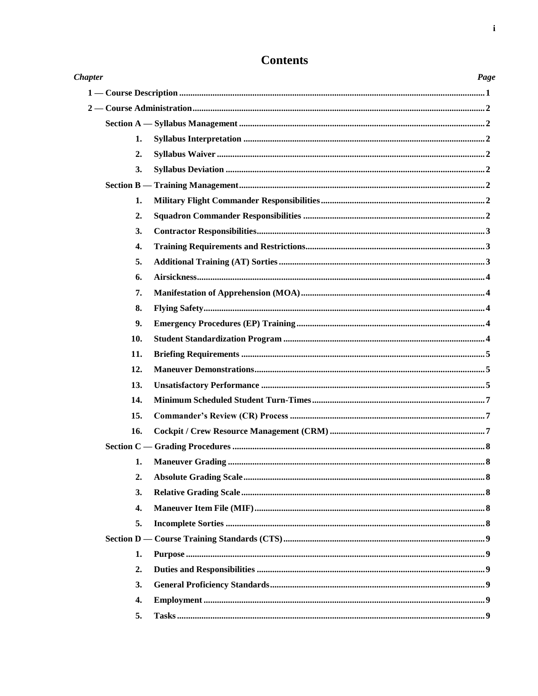| <b>Chapter</b>   | Page |
|------------------|------|
|                  |      |
|                  |      |
|                  |      |
| 1.               |      |
| 2.               |      |
| 3.               |      |
|                  |      |
| 1.               |      |
| 2.               |      |
| 3.               |      |
| 4.               |      |
| 5.               |      |
| 6.               |      |
| 7.               |      |
| 8.               |      |
| 9.               |      |
| 10.              |      |
| 11.              |      |
| 12.              |      |
| 13.              |      |
| 14.              |      |
| 15.              |      |
| 16.              |      |
|                  |      |
|                  |      |
| 2.               |      |
| 3.               |      |
| $\overline{4}$ . |      |
| 5.               |      |
|                  |      |
| 1.               |      |
| 2.               |      |
| 3.               |      |
| 4.               |      |
| 5.               |      |

# **Contents**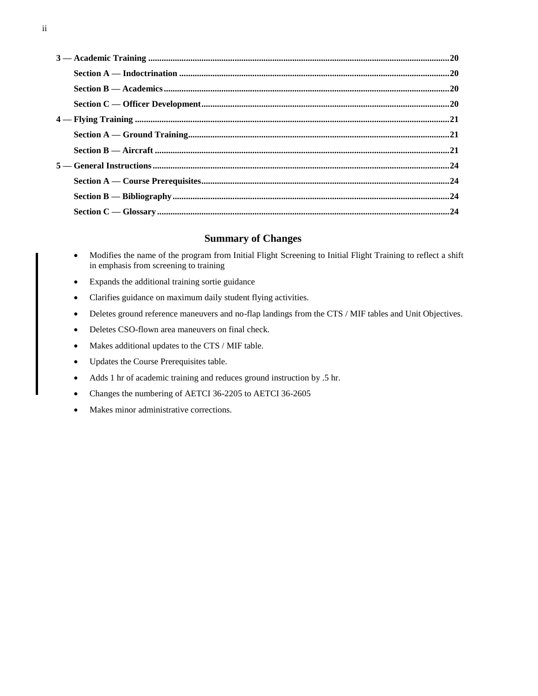### **Summary of Changes**

- Modifies the name of the program from Initial Flight Screening to Initial Flight Training to reflect a shift in emphasis from screening to training
- Expands the additional training sortie guidance
- Clarifies guidance on maximum daily student flying activities.
- Deletes ground reference maneuvers and no-flap landings from the CTS / MIF tables and Unit Objectives.
- Deletes CSO-flown area maneuvers on final check.
- Makes additional updates to the CTS / MIF table.
- Updates the Course Prerequisites table.
- Adds 1 hr of academic training and reduces ground instruction by .5 hr.
- Changes the numbering of AETCI 36-2205 to AETCI 36-2605
- Makes minor administrative corrections.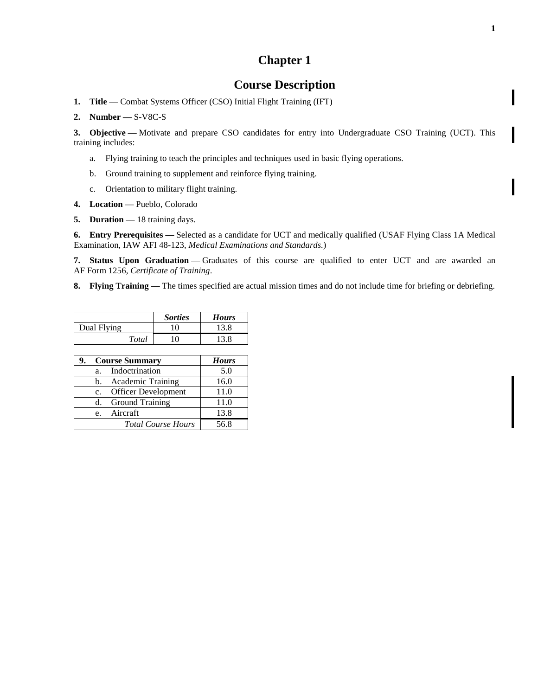## **Course Description**

<span id="page-4-0"></span>1. **Title** — Combat Systems Officer (CSO) Initial Flight Training (IFT)

**2. Number —** S-V8C-S

**3. Objective —** Motivate and prepare CSO candidates for entry into Undergraduate CSO Training (UCT). This training includes:

- a. Flying training to teach the principles and techniques used in basic flying operations.
- b. Ground training to supplement and reinforce flying training.
- c. Orientation to military flight training.
- **4. Location —** Pueblo, Colorado
- **5. Duration —** 18 training days.

**6. Entry Prerequisites —** Selected as a candidate for UCT and medically qualified (USAF Flying Class 1A Medical Examination, IAW AFI 48-123, *Medical Examinations and Standards.*)

**7. Status Upon Graduation —** Graduates of this course are qualified to enter UCT and are awarded an AF Form 1256, *Certificate of Training*.

**8. Flying Training —** The times specified are actual mission times and do not include time for briefing or debriefing.

|             | <b>Sorties</b> | <b>Hours</b> |
|-------------|----------------|--------------|
| Dual Flying |                | 13.8         |
| Total       | 0              | 13.8         |

| 9. |             | <b>Course Summary</b>      | <b>Hours</b> |
|----|-------------|----------------------------|--------------|
|    | a.          | Indoctrination             | 5.0          |
|    |             | b. Academic Training       | 16.0         |
|    | $c_{\cdot}$ | <b>Officer Development</b> | 11.0         |
|    | d.          | <b>Ground Training</b>     | 11.0         |
|    |             | e. Aircraft                | 13.8         |
|    |             | <b>Total Course Hours</b>  | 56.8         |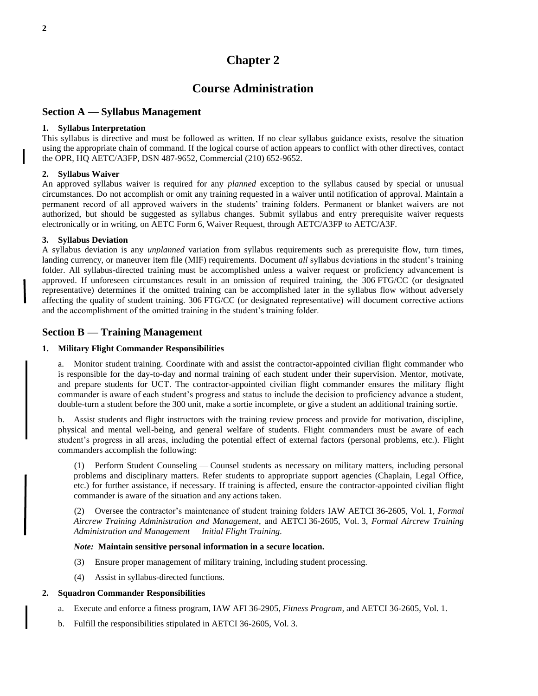### **Course Administration**

#### <span id="page-5-1"></span><span id="page-5-0"></span>**Section A — Syllabus Management**

#### <span id="page-5-2"></span>**1. Syllabus Interpretation**

This syllabus is directive and must be followed as written. If no clear syllabus guidance exists, resolve the situation using the appropriate chain of command. If the logical course of action appears to conflict with other directives, contact the OPR, HQ AETC/A3FP, DSN 487-9652, Commercial (210) 652-9652.

#### <span id="page-5-3"></span>**2. Syllabus Waiver**

An approved syllabus waiver is required for any *planned* exception to the syllabus caused by special or unusual circumstances. Do not accomplish or omit any training requested in a waiver until notification of approval. Maintain a permanent record of all approved waivers in the students' training folders. Permanent or blanket waivers are not authorized, but should be suggested as syllabus changes. Submit syllabus and entry prerequisite waiver requests electronically or in writing, on AETC Form 6, Waiver Request, through AETC/A3FP to AETC/A3F.

#### <span id="page-5-4"></span>**3. Syllabus Deviation**

A syllabus deviation is any *unplanned* variation from syllabus requirements such as prerequisite flow, turn times, landing currency, or maneuver item file (MIF) requirements. Document *all* syllabus deviations in the student's training folder. All syllabus-directed training must be accomplished unless a waiver request or proficiency advancement is approved. If unforeseen circumstances result in an omission of required training, the 306 FTG/CC (or designated representative) determines if the omitted training can be accomplished later in the syllabus flow without adversely affecting the quality of student training. 306 FTG/CC (or designated representative) will document corrective actions and the accomplishment of the omitted training in the student's training folder.

#### <span id="page-5-5"></span>**Section B — Training Management**

#### <span id="page-5-6"></span>**1. Military Flight Commander Responsibilities**

a. Monitor student training. Coordinate with and assist the contractor-appointed civilian flight commander who is responsible for the day-to-day and normal training of each student under their supervision. Mentor, motivate, and prepare students for UCT. The contractor-appointed civilian flight commander ensures the military flight commander is aware of each student's progress and status to include the decision to proficiency advance a student, double-turn a student before the 300 unit, make a sortie incomplete, or give a student an additional training sortie.

b. Assist students and flight instructors with the training review process and provide for motivation, discipline, physical and mental well-being, and general welfare of students. Flight commanders must be aware of each student's progress in all areas, including the potential effect of external factors (personal problems, etc.). Flight commanders accomplish the following:

(1) Perform Student Counseling — Counsel students as necessary on military matters, including personal problems and disciplinary matters. Refer students to appropriate support agencies (Chaplain, Legal Office, etc.) for further assistance, if necessary. If training is affected, ensure the contractor-appointed civilian flight commander is aware of the situation and any actions taken.

(2) Oversee the contractor's maintenance of student training folders IAW AETCI 36-2605, Vol. 1, *Formal Aircrew Training Administration and Management*, and AETCI 36-2605, Vol. 3*, Formal Aircrew Training Administration and Management — Initial Flight Training.*

#### *Note:* **Maintain sensitive personal information in a secure location.**

- (3) Ensure proper management of military training, including student processing.
- (4) Assist in syllabus-directed functions.

#### <span id="page-5-7"></span>**2. Squadron Commander Responsibilities**

- a. Execute and enforce a fitness program, IAW AFI 36-2905, *Fitness Program,* and AETCI 36-2605, Vol. 1.
- b. Fulfill the responsibilities stipulated in AETCI 36-2605, Vol. 3.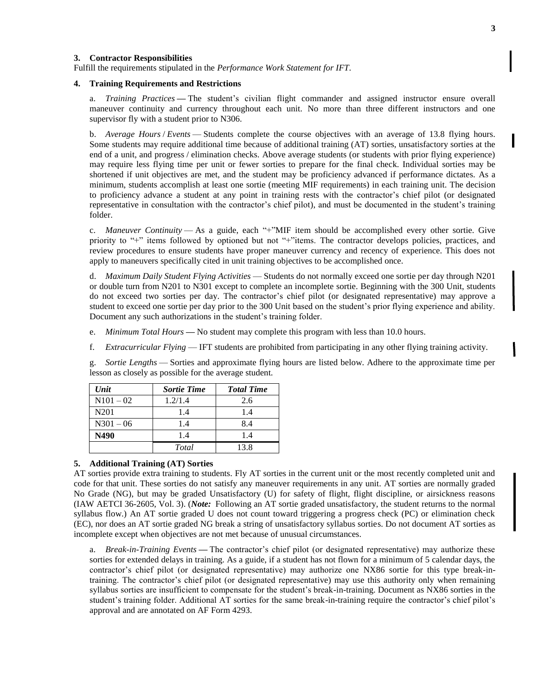#### <span id="page-6-0"></span>**3. Contractor Responsibilities**

Fulfill the requirements stipulated in the *Performance Work Statement for IFT*.

#### <span id="page-6-1"></span>**4. Training Requirements and Restrictions**

a. *Training Practices* **—** The student's civilian flight commander and assigned instructor ensure overall maneuver continuity and currency throughout each unit. No more than three different instructors and one supervisor fly with a student prior to N306.

b. *Average Hours* / *Events* — Students complete the course objectives with an average of 13.8 flying hours. Some students may require additional time because of additional training (AT) sorties, unsatisfactory sorties at the end of a unit, and progress / elimination checks. Above average students (or students with prior flying experience) may require less flying time per unit or fewer sorties to prepare for the final check. Individual sorties may be shortened if unit objectives are met, and the student may be proficiency advanced if performance dictates. As a minimum, students accomplish at least one sortie (meeting MIF requirements) in each training unit. The decision to proficiency advance a student at any point in training rests with the contractor's chief pilot (or designated representative in consultation with the contractor's chief pilot), and must be documented in the student's training folder.

c. *Maneuver Continuity* — As a guide, each "+"MIF item should be accomplished every other sortie. Give priority to "+" items followed by optioned but not "+"items. The contractor develops policies, practices, and review procedures to ensure students have proper maneuver currency and recency of experience. This does not apply to maneuvers specifically cited in unit training objectives to be accomplished once.

d. *Maximum Daily Student Flying Activities* — Students do not normally exceed one sortie per day through N201 or double turn from N201 to N301 except to complete an incomplete sortie. Beginning with the 300 Unit, students do not exceed two sorties per day. The contractor's chief pilot (or designated representative) may approve a student to exceed one sortie per day prior to the 300 Unit based on the student's prior flying experience and ability. Document any such authorizations in the student's training folder.

- e. *Minimum Total Hours* **—** No student may complete this program with less than 10.0 hours.
- f. *Extracurricular Flying* IFT students are prohibited from participating in any other flying training activity.

g. *Sortie Lengths* — Sorties and approximate flying hours are listed below. Adhere to the approximate time per lesson as closely as possible for the average student.

| Unit             | <b>Sortie Time</b> | <b>Total Time</b> |
|------------------|--------------------|-------------------|
| $N101 - 02$      | 1.2/1.4            | 2.6               |
| N <sub>201</sub> | 1.4                | 1.4               |
| $N301 - 06$      | 1.4                | 8.4               |
| N490             | 1.4                | 1.4               |
|                  | Total              | 13.8              |

#### <span id="page-6-2"></span>**5. Additional Training (AT) Sorties**

AT sorties provide extra training to students. Fly AT sorties in the current unit or the most recently completed unit and code for that unit. These sorties do not satisfy any maneuver requirements in any unit. AT sorties are normally graded No Grade (NG), but may be graded Unsatisfactory (U) for safety of flight, flight discipline, or airsickness reasons (IAW AETCI 36-2605, Vol. 3). (*Note:* Following an AT sortie graded unsatisfactory, the student returns to the normal syllabus flow.) An AT sortie graded U does not count toward triggering a progress check (PC) or elimination check (EC), nor does an AT sortie graded NG break a string of unsatisfactory syllabus sorties. Do not document AT sorties as incomplete except when objectives are not met because of unusual circumstances.

a. *Break-in-Training Events* **—** The contractor's chief pilot (or designated representative) may authorize these sorties for extended delays in training. As a guide, if a student has not flown for a minimum of 5 calendar days, the contractor's chief pilot (or designated representative) may authorize one NX86 sortie for this type break-intraining. The contractor's chief pilot (or designated representative) may use this authority only when remaining syllabus sorties are insufficient to compensate for the student's break-in-training. Document as NX86 sorties in the student's training folder. Additional AT sorties for the same break-in-training require the contractor's chief pilot's approval and are annotated on AF Form 4293.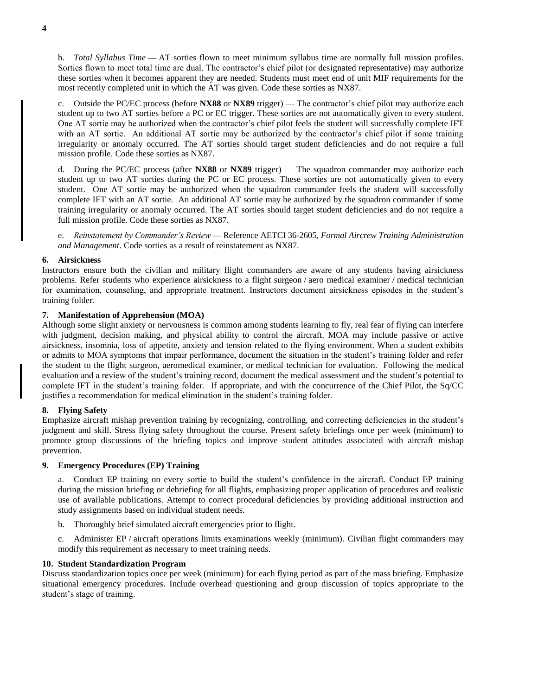b. *Total Syllabus Time* **—** AT sorties flown to meet minimum syllabus time are normally full mission profiles. Sorties flown to meet total time are dual. The contractor's chief pilot (or designated representative) may authorize these sorties when it becomes apparent they are needed. Students must meet end of unit MIF requirements for the most recently completed unit in which the AT was given. Code these sorties as NX87.

c. Outside the PC/EC process (before **NX88** or **NX89** trigger) — The contractor's chief pilot may authorize each student up to two AT sorties before a PC or EC trigger. These sorties are not automatically given to every student. One AT sortie may be authorized when the contractor's chief pilot feels the student will successfully complete IFT with an AT sortie. An additional AT sortie may be authorized by the contractor's chief pilot if some training irregularity or anomaly occurred. The AT sorties should target student deficiencies and do not require a full mission profile. Code these sorties as NX87.

d. During the PC/EC process (after **NX88** or **NX89** trigger) — The squadron commander may authorize each student up to two AT sorties during the PC or EC process. These sorties are not automatically given to every student. One AT sortie may be authorized when the squadron commander feels the student will successfully complete IFT with an AT sortie. An additional AT sortie may be authorized by the squadron commander if some training irregularity or anomaly occurred. The AT sorties should target student deficiencies and do not require a full mission profile. Code these sorties as NX87.

e. *Reinstatement by Commander's Review* **—** Reference AETCI 36-2605, *Formal Aircrew Training Administration and Management*. Code sorties as a result of reinstatement as NX87.

#### <span id="page-7-0"></span>**6. Airsickness**

Instructors ensure both the civilian and military flight commanders are aware of any students having airsickness problems. Refer students who experience airsickness to a flight surgeon / aero medical examiner / medical technician for examination, counseling, and appropriate treatment. Instructors document airsickness episodes in the student's training folder.

#### <span id="page-7-1"></span>**7. Manifestation of Apprehension (MOA)**

Although some slight anxiety or nervousness is common among students learning to fly, real fear of flying can interfere with judgment, decision making, and physical ability to control the aircraft. MOA may include passive or active airsickness, insomnia, loss of appetite, anxiety and tension related to the flying environment. When a student exhibits or admits to MOA symptoms that impair performance, document the situation in the student's training folder and refer the student to the flight surgeon, aeromedical examiner, or medical technician for evaluation. Following the medical evaluation and a review of the student's training record, document the medical assessment and the student's potential to complete IFT in the student's training folder. If appropriate, and with the concurrence of the Chief Pilot, the Sq/CC justifies a recommendation for medical elimination in the student's training folder.

#### <span id="page-7-2"></span>**8. Flying Safety**

Emphasize aircraft mishap prevention training by recognizing, controlling, and correcting deficiencies in the student's judgment and skill. Stress flying safety throughout the course. Present safety briefings once per week (minimum) to promote group discussions of the briefing topics and improve student attitudes associated with aircraft mishap prevention.

#### <span id="page-7-3"></span>**9. Emergency Procedures (EP) Training**

a. Conduct EP training on every sortie to build the student's confidence in the aircraft. Conduct EP training during the mission briefing or debriefing for all flights, emphasizing proper application of procedures and realistic use of available publications. Attempt to correct procedural deficiencies by providing additional instruction and study assignments based on individual student needs.

b. Thoroughly brief simulated aircraft emergencies prior to flight.

c. Administer EP / aircraft operations limits examinations weekly (minimum). Civilian flight commanders may modify this requirement as necessary to meet training needs.

#### <span id="page-7-4"></span>**10. Student Standardization Program**

Discuss standardization topics once per week (minimum) for each flying period as part of the mass briefing. Emphasize situational emergency procedures. Include overhead questioning and group discussion of topics appropriate to the student's stage of training.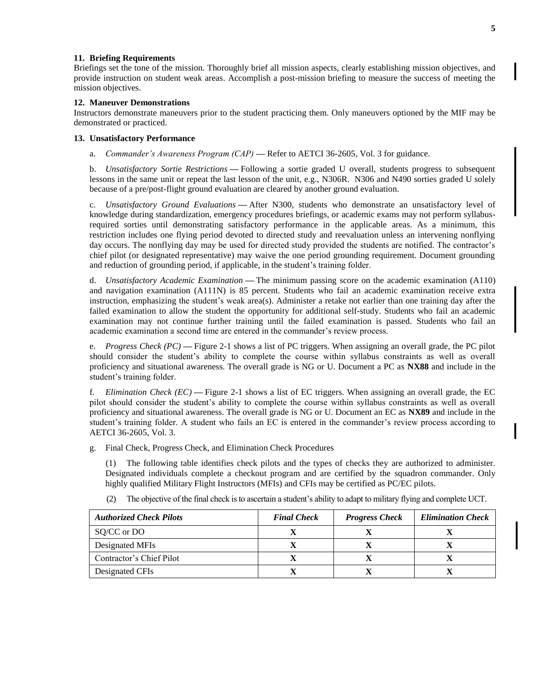#### <span id="page-8-0"></span>**11. Briefing Requirements**

Briefings set the tone of the mission. Thoroughly brief all mission aspects, clearly establishing mission objectives, and provide instruction on student weak areas. Accomplish a post-mission briefing to measure the success of meeting the mission objectives.

#### <span id="page-8-1"></span>**12. Maneuver Demonstrations**

Instructors demonstrate maneuvers prior to the student practicing them. Only maneuvers optioned by the MIF may be demonstrated or practiced.

#### <span id="page-8-2"></span>**13. Unsatisfactory Performance**

a. *Commander's Awareness Program (CAP)* **—** Refer to AETCI 36-2605, Vol. 3 for guidance.

b. *Unsatisfactory Sortie Restrictions* **—** Following a sortie graded U overall, students progress to subsequent lessons in the same unit or repeat the last lesson of the unit, e.g., N306R. N306 and N490 sorties graded U solely because of a pre/post-flight ground evaluation are cleared by another ground evaluation.

c. *Unsatisfactory Ground Evaluations* **—** After N300, students who demonstrate an unsatisfactory level of knowledge during standardization, emergency procedures briefings, or academic exams may not perform syllabusrequired sorties until demonstrating satisfactory performance in the applicable areas. As a minimum, this restriction includes one flying period devoted to directed study and reevaluation unless an intervening nonflying day occurs. The nonflying day may be used for directed study provided the students are notified. The contractor's chief pilot (or designated representative) may waive the one period grounding requirement. Document grounding and reduction of grounding period, if applicable, in the student's training folder.

d. *Unsatisfactory Academic Examination* **—** The minimum passing score on the academic examination (A110) and navigation examination (A111N) is 85 percent. Students who fail an academic examination receive extra instruction, emphasizing the student's weak area(s). Administer a retake not earlier than one training day after the failed examination to allow the student the opportunity for additional self-study. Students who fail an academic examination may not continue further training until the failed examination is passed. Students who fail an academic examination a second time are entered in the commander's review process.

e. *Progress Check (PC)* **—** Figure 2-1 shows a list of PC triggers. When assigning an overall grade, the PC pilot should consider the student's ability to complete the course within syllabus constraints as well as overall proficiency and situational awareness. The overall grade is NG or U. Document a PC as **NX88** and include in the student's training folder.

f. *Elimination Check (EC)* **—** Figure 2-1 shows a list of EC triggers. When assigning an overall grade, the EC pilot should consider the student's ability to complete the course within syllabus constraints as well as overall proficiency and situational awareness. The overall grade is NG or U. Document an EC as **NX89** and include in the student's training folder. A student who fails an EC is entered in the commander's review process according to AETCI 36-2605, Vol. 3.

g. Final Check, Progress Check, and Elimination Check Procedures

(1) The following table identifies check pilots and the types of checks they are authorized to administer. Designated individuals complete a checkout program and are certified by the squadron commander. Only highly qualified Military Flight Instructors (MFIs) and CFIs may be certified as PC/EC pilots.

| <b>Authorized Check Pilots</b> | <b>Final Check</b> | <b>Progress Check</b> | <b>Elimination Check</b> |
|--------------------------------|--------------------|-----------------------|--------------------------|
| SQ/CC or DO                    |                    |                       |                          |
| Designated MFIs                |                    |                       |                          |
| Contractor's Chief Pilot       |                    |                       |                          |
| Designated CFIs                |                    |                       |                          |

(2) The objective of the final check is to ascertain a student's ability to adapt to military flying and complete UCT.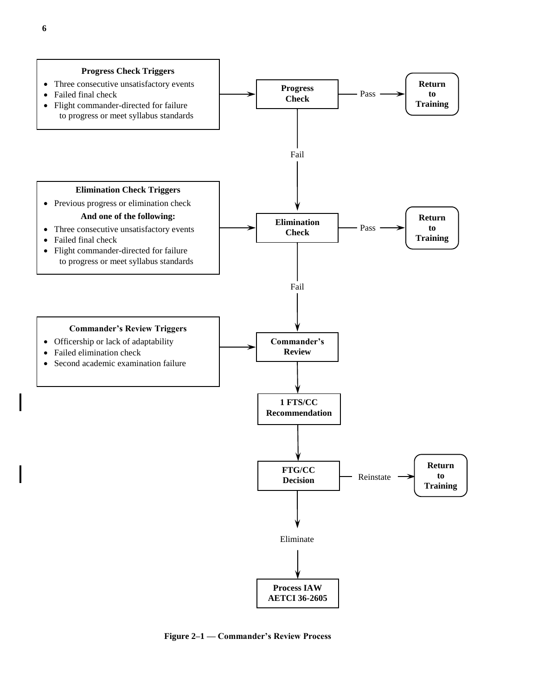

**Figure 2–1 — Commander's Review Process**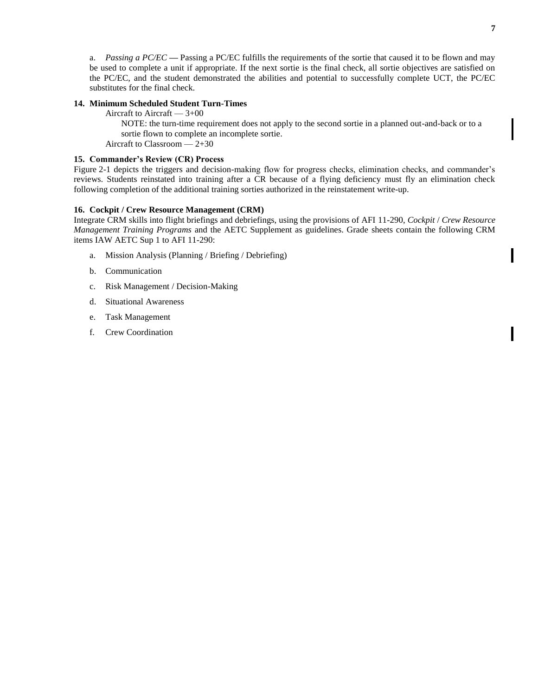<span id="page-10-2"></span>a. *Passing a PC/EC* **—** Passing a PC/EC fulfills the requirements of the sortie that caused it to be flown and may be used to complete a unit if appropriate. If the next sortie is the final check, all sortie objectives are satisfied on the PC/EC, and the student demonstrated the abilities and potential to successfully complete UCT, the PC/EC substitutes for the final check.

#### <span id="page-10-0"></span>**14. Minimum Scheduled Student Turn-Times**

Aircraft to Aircraft  $-3+00$ 

NOTE: the turn-time requirement does not apply to the second sortie in a planned out-and-back or to a sortie flown to complete an incomplete sortie.

Aircraft to Classroom — 2+30

#### <span id="page-10-1"></span>**15. Commander's Review (CR) Process**

Figure 2-1 depicts the triggers and decision-making flow for progress checks, elimination checks, and commander's reviews. Students reinstated into training after a CR because of a flying deficiency must fly an elimination check following completion of the additional training sorties authorized in the reinstatement write-up.

#### **16. Cockpit / Crew Resource Management (CRM)**

Integrate CRM skills into flight briefings and debriefings, using the provisions of AFI 11-290, *Cockpit* / *Crew Resource Management Training Programs* and the AETC Supplement as guidelines. Grade sheets contain the following CRM items IAW AETC Sup 1 to AFI 11-290:

- a. Mission Analysis (Planning / Briefing / Debriefing)
- b. Communication
- c. Risk Management / Decision-Making
- d. Situational Awareness
- e. Task Management
- f. Crew Coordination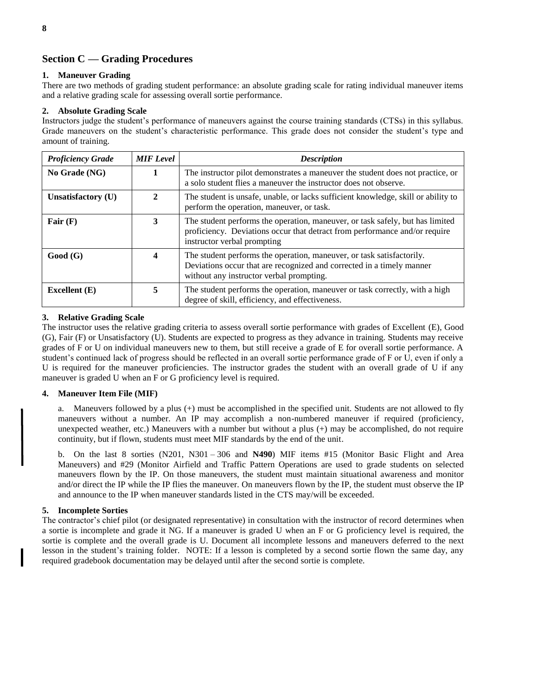#### <span id="page-11-0"></span>**Section C — Grading Procedures**

#### <span id="page-11-1"></span>**1. Maneuver Grading**

There are two methods of grading student performance: an absolute grading scale for rating individual maneuver items and a relative grading scale for assessing overall sortie performance.

#### <span id="page-11-2"></span>**2. Absolute Grading Scale**

Instructors judge the student's performance of maneuvers against the course training standards (CTSs) in this syllabus. Grade maneuvers on the student's characteristic performance. This grade does not consider the student's type and amount of training.

| <b>Proficiency Grade</b> | <b>MIF</b> Level | <b>Description</b>                                                                                                                                                                         |  |
|--------------------------|------------------|--------------------------------------------------------------------------------------------------------------------------------------------------------------------------------------------|--|
| No Grade (NG)            |                  | The instructor pilot demonstrates a maneuver the student does not practice, or<br>a solo student flies a maneuver the instructor does not observe.                                         |  |
| Unsatisfactory (U)       | 2                | The student is unsafe, unable, or lacks sufficient knowledge, skill or ability to<br>perform the operation, maneuver, or task.                                                             |  |
| Fair $(F)$               | 3                | The student performs the operation, maneuver, or task safely, but has limited<br>proficiency. Deviations occur that detract from performance and/or require<br>instructor verbal prompting |  |
| Good(G)                  |                  | The student performs the operation, maneuver, or task satisfactorily.<br>Deviations occur that are recognized and corrected in a timely manner<br>without any instructor verbal prompting. |  |
| Excellent $(E)$          | 5                | The student performs the operation, maneuver or task correctly, with a high<br>degree of skill, efficiency, and effectiveness.                                                             |  |

#### <span id="page-11-3"></span>**3. Relative Grading Scale**

The instructor uses the relative grading criteria to assess overall sortie performance with grades of Excellent (E), Good (G), Fair (F) or Unsatisfactory (U). Students are expected to progress as they advance in training. Students may receive grades of F or U on individual maneuvers new to them, but still receive a grade of E for overall sortie performance. A student's continued lack of progress should be reflected in an overall sortie performance grade of F or U, even if only a U is required for the maneuver proficiencies. The instructor grades the student with an overall grade of U if any maneuver is graded U when an F or G proficiency level is required.

#### <span id="page-11-4"></span>**4. Maneuver Item File (MIF)**

a. Maneuvers followed by a plus (+) must be accomplished in the specified unit. Students are not allowed to fly maneuvers without a number. An IP may accomplish a non-numbered maneuver if required (proficiency, unexpected weather, etc.) Maneuvers with a number but without a plus (+) may be accomplished, do not require continuity, but if flown, students must meet MIF standards by the end of the unit.

b. On the last 8 sorties (N201, N301 – 306 and **N490**) MIF items #15 (Monitor Basic Flight and Area Maneuvers) and #29 (Monitor Airfield and Traffic Pattern Operations are used to grade students on selected maneuvers flown by the IP. On those maneuvers, the student must maintain situational awareness and monitor and/or direct the IP while the IP flies the maneuver. On maneuvers flown by the IP, the student must observe the IP and announce to the IP when maneuver standards listed in the CTS may/will be exceeded.

#### <span id="page-11-5"></span>**5. Incomplete Sorties**

The contractor's chief pilot (or designated representative) in consultation with the instructor of record determines when a sortie is incomplete and grade it NG. If a maneuver is graded U when an F or G proficiency level is required, the sortie is complete and the overall grade is U. Document all incomplete lessons and maneuvers deferred to the next lesson in the student's training folder. NOTE: If a lesson is completed by a second sortie flown the same day, any required gradebook documentation may be delayed until after the second sortie is complete.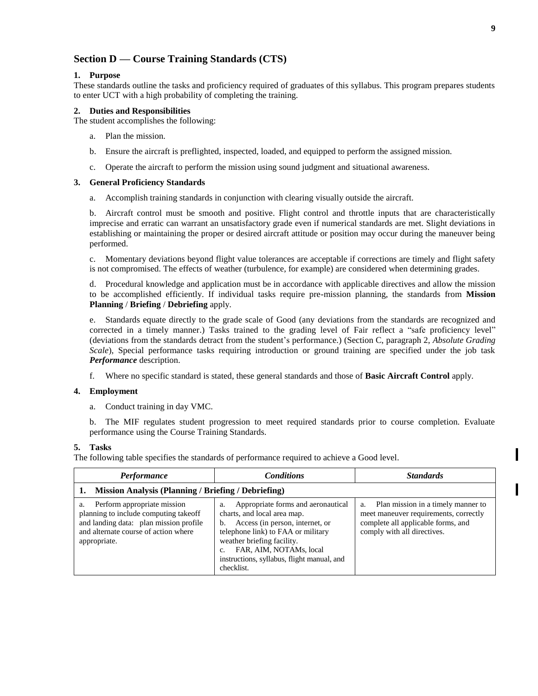#### <span id="page-12-0"></span>**Section D — Course Training Standards (CTS)**

#### <span id="page-12-1"></span>**1. Purpose**

These standards outline the tasks and proficiency required of graduates of this syllabus. This program prepares students to enter UCT with a high probability of completing the training.

#### <span id="page-12-2"></span>**2. Duties and Responsibilities**

The student accomplishes the following:

- a. Plan the mission.
- b. Ensure the aircraft is preflighted, inspected, loaded, and equipped to perform the assigned mission.
- c. Operate the aircraft to perform the mission using sound judgment and situational awareness.

#### <span id="page-12-3"></span>**3. General Proficiency Standards**

a. Accomplish training standards in conjunction with clearing visually outside the aircraft.

b. Aircraft control must be smooth and positive. Flight control and throttle inputs that are characteristically imprecise and erratic can warrant an unsatisfactory grade even if numerical standards are met. Slight deviations in establishing or maintaining the proper or desired aircraft attitude or position may occur during the maneuver being performed.

c. Momentary deviations beyond flight value tolerances are acceptable if corrections are timely and flight safety is not compromised. The effects of weather (turbulence, for example) are considered when determining grades.

d. Procedural knowledge and application must be in accordance with applicable directives and allow the mission to be accomplished efficiently. If individual tasks require pre-mission planning, the standards from **Mission Planning** / **Briefing** / **Debriefing** apply.

e. Standards equate directly to the grade scale of Good (any deviations from the standards are recognized and corrected in a timely manner.) Tasks trained to the grading level of Fair reflect a "safe proficiency level" (deviations from the standards detract from the student's performance.) (Section C, paragraph 2, *Absolute Grading Scale*)*,* Special performance tasks requiring introduction or ground training are specified under the job task *Performance* description.

f. Where no specific standard is stated, these general standards and those of **Basic Aircraft Control** apply.

#### <span id="page-12-4"></span>**4. Employment**

a. Conduct training in day VMC.

b. The MIF regulates student progression to meet required standards prior to course completion. Evaluate performance using the Course Training Standards.

#### <span id="page-12-5"></span>**5. Tasks**

The following table specifies the standards of performance required to achieve a Good level.

| Performance                                                                                                                                                                  | <b>Conditions</b>                                                                                                                                                                                                                                                           | <b>Standards</b>                                                                                                                                       |  |
|------------------------------------------------------------------------------------------------------------------------------------------------------------------------------|-----------------------------------------------------------------------------------------------------------------------------------------------------------------------------------------------------------------------------------------------------------------------------|--------------------------------------------------------------------------------------------------------------------------------------------------------|--|
| 1. Mission Analysis (Planning / Briefing / Debriefing)                                                                                                                       |                                                                                                                                                                                                                                                                             |                                                                                                                                                        |  |
| Perform appropriate mission<br>a.<br>planning to include computing takeoff<br>and landing data: plan mission profile<br>and alternate course of action where<br>appropriate. | Appropriate forms and aeronautical<br>a.<br>charts, and local area map.<br>Access (in person, internet, or<br>b.<br>telephone link) to FAA or military<br>weather briefing facility.<br>FAR, AIM, NOTAMs, local<br>instructions, syllabus, flight manual, and<br>checklist. | Plan mission in a timely manner to<br>a.<br>meet maneuver requirements, correctly<br>complete all applicable forms, and<br>comply with all directives. |  |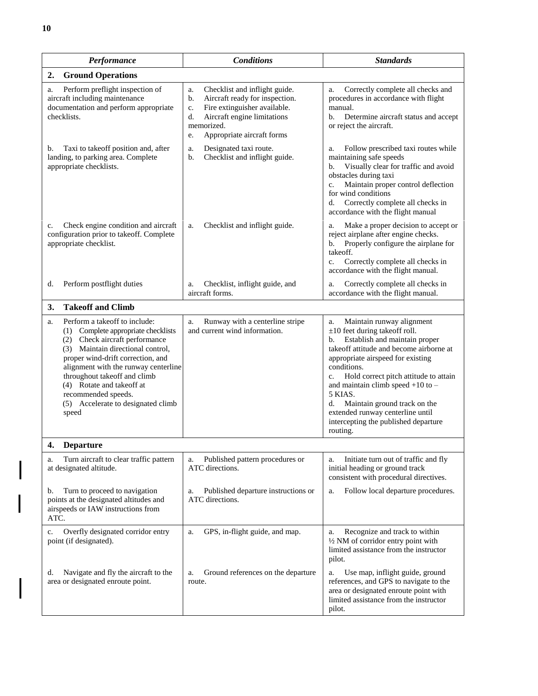| Performance                                                                                                                                                                                                                                                                                                                                                             | <b>Conditions</b>                                                                                                                                                                                        | <b>Standards</b>                                                                                                                                                                                                                                                                                                                                                                                                                             |
|-------------------------------------------------------------------------------------------------------------------------------------------------------------------------------------------------------------------------------------------------------------------------------------------------------------------------------------------------------------------------|----------------------------------------------------------------------------------------------------------------------------------------------------------------------------------------------------------|----------------------------------------------------------------------------------------------------------------------------------------------------------------------------------------------------------------------------------------------------------------------------------------------------------------------------------------------------------------------------------------------------------------------------------------------|
| <b>Ground Operations</b><br>2.                                                                                                                                                                                                                                                                                                                                          |                                                                                                                                                                                                          |                                                                                                                                                                                                                                                                                                                                                                                                                                              |
| Perform preflight inspection of<br>a.<br>aircraft including maintenance<br>documentation and perform appropriate<br>checklists.                                                                                                                                                                                                                                         | Checklist and inflight guide.<br>a.<br>Aircraft ready for inspection.<br>b.<br>Fire extinguisher available.<br>c.<br>Aircraft engine limitations<br>d.<br>memorized.<br>Appropriate aircraft forms<br>e. | Correctly complete all checks and<br>a.<br>procedures in accordance with flight<br>manual.<br>Determine aircraft status and accept<br>b.<br>or reject the aircraft.                                                                                                                                                                                                                                                                          |
| Taxi to take off position and, after<br>b.<br>landing, to parking area. Complete<br>appropriate checklists.                                                                                                                                                                                                                                                             | Designated taxi route.<br>a.<br>b.<br>Checklist and inflight guide.                                                                                                                                      | Follow prescribed taxi routes while<br>a.<br>maintaining safe speeds<br>Visually clear for traffic and avoid<br>b.<br>obstacles during taxi<br>Maintain proper control deflection<br>c.<br>for wind conditions<br>Correctly complete all checks in<br>d.<br>accordance with the flight manual                                                                                                                                                |
| Check engine condition and aircraft<br>c.<br>configuration prior to takeoff. Complete<br>appropriate checklist.                                                                                                                                                                                                                                                         | Checklist and inflight guide.<br>a.                                                                                                                                                                      | Make a proper decision to accept or<br>a.<br>reject airplane after engine checks.<br>Properly configure the airplane for<br>b.<br>takeoff.<br>Correctly complete all checks in<br>c.<br>accordance with the flight manual.                                                                                                                                                                                                                   |
| Perform postflight duties<br>d.                                                                                                                                                                                                                                                                                                                                         | Checklist, inflight guide, and<br>a.<br>aircraft forms.                                                                                                                                                  | Correctly complete all checks in<br>a.<br>accordance with the flight manual.                                                                                                                                                                                                                                                                                                                                                                 |
| <b>Takeoff and Climb</b><br>3.                                                                                                                                                                                                                                                                                                                                          |                                                                                                                                                                                                          |                                                                                                                                                                                                                                                                                                                                                                                                                                              |
| Perform a takeoff to include:<br>a.<br>Complete appropriate checklists<br>(1)<br>Check aircraft performance<br>(2)<br>(3) Maintain directional control,<br>proper wind-drift correction, and<br>alignment with the runway centerline<br>throughout takeoff and climb<br>(4) Rotate and takeoff at<br>recommended speeds.<br>(5) Accelerate to designated climb<br>speed | Runway with a centerline stripe<br>a.<br>and current wind information.                                                                                                                                   | Maintain runway alignment<br>a.<br>$\pm 10$ feet during takeoff roll.<br>Establish and maintain proper<br>b.<br>takeoff attitude and become airborne at<br>appropriate airspeed for existing<br>conditions.<br>Hold correct pitch attitude to attain<br>c.<br>and maintain climb speed $+10$ to $-$<br>5 KIAS.<br>Maintain ground track on the<br>d.<br>extended runway centerline until<br>intercepting the published departure<br>routing. |
| 4<br><b>Departure</b>                                                                                                                                                                                                                                                                                                                                                   |                                                                                                                                                                                                          |                                                                                                                                                                                                                                                                                                                                                                                                                                              |
| Turn aircraft to clear traffic pattern<br>a.<br>at designated altitude.                                                                                                                                                                                                                                                                                                 | Published pattern procedures or<br>a.<br>ATC directions.                                                                                                                                                 | Initiate turn out of traffic and fly<br>a.<br>initial heading or ground track<br>consistent with procedural directives.                                                                                                                                                                                                                                                                                                                      |
| Turn to proceed to navigation<br>b.<br>points at the designated altitudes and<br>airspeeds or IAW instructions from<br>ATC.                                                                                                                                                                                                                                             | Published departure instructions or<br>a.<br>ATC directions.                                                                                                                                             | Follow local departure procedures.<br>a.                                                                                                                                                                                                                                                                                                                                                                                                     |
| Overfly designated corridor entry<br>c.<br>point (if designated).                                                                                                                                                                                                                                                                                                       | GPS, in-flight guide, and map.<br>a.                                                                                                                                                                     | Recognize and track to within<br>a.<br>1/2 NM of corridor entry point with<br>limited assistance from the instructor<br>pilot.                                                                                                                                                                                                                                                                                                               |
| Navigate and fly the aircraft to the<br>d.<br>area or designated enroute point.                                                                                                                                                                                                                                                                                         | Ground references on the departure<br>a.<br>route.                                                                                                                                                       | Use map, inflight guide, ground<br>a.<br>references, and GPS to navigate to the<br>area or designated enroute point with<br>limited assistance from the instructor<br>pilot.                                                                                                                                                                                                                                                                 |

 $\overline{\phantom{a}}$ 

 $\overline{\phantom{a}}$ 

 $\mathsf{l}$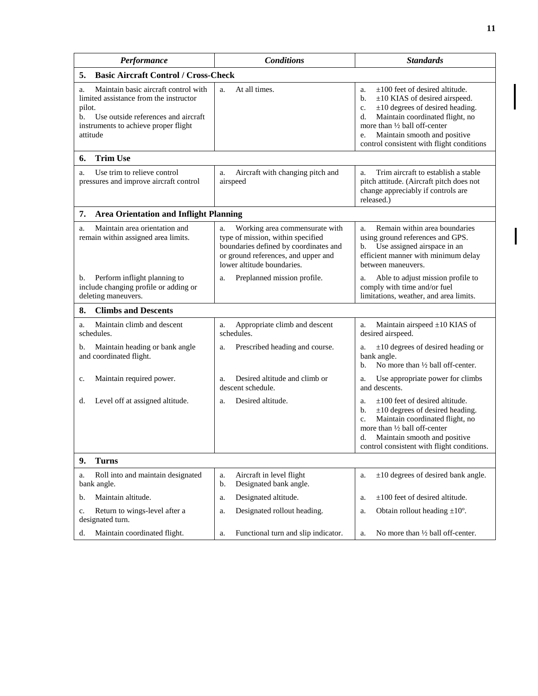| Performance                                                                                                                                                                                     | <b>Conditions</b>                                                                                                                                                                       | <b>Standards</b>                                                                                                                                                                                                                                                                                           |  |  |
|-------------------------------------------------------------------------------------------------------------------------------------------------------------------------------------------------|-----------------------------------------------------------------------------------------------------------------------------------------------------------------------------------------|------------------------------------------------------------------------------------------------------------------------------------------------------------------------------------------------------------------------------------------------------------------------------------------------------------|--|--|
| <b>Basic Aircraft Control / Cross-Check</b><br>5.                                                                                                                                               |                                                                                                                                                                                         |                                                                                                                                                                                                                                                                                                            |  |  |
| Maintain basic aircraft control with<br>a.<br>limited assistance from the instructor<br>pilot.<br>Use outside references and aircraft<br>b.<br>instruments to achieve proper flight<br>attitude | At all times.<br>a.                                                                                                                                                                     | $\pm 100$ feet of desired altitude.<br>a.<br>$\pm 10$ KIAS of desired airspeed.<br>b.<br>$\pm 10$ degrees of desired heading.<br>c.<br>Maintain coordinated flight, no<br>d.<br>more than $\frac{1}{2}$ ball off-center<br>Maintain smooth and positive<br>e.<br>control consistent with flight conditions |  |  |
| <b>Trim Use</b><br>6.                                                                                                                                                                           |                                                                                                                                                                                         |                                                                                                                                                                                                                                                                                                            |  |  |
| Use trim to relieve control<br>a.<br>pressures and improve aircraft control                                                                                                                     | Aircraft with changing pitch and<br>a.<br>airspeed                                                                                                                                      | Trim aircraft to establish a stable<br>a.<br>pitch attitude. (Aircraft pitch does not<br>change appreciably if controls are<br>released.)                                                                                                                                                                  |  |  |
| 7.<br><b>Area Orientation and Inflight Planning</b>                                                                                                                                             |                                                                                                                                                                                         |                                                                                                                                                                                                                                                                                                            |  |  |
| Maintain area orientation and<br>a.<br>remain within assigned area limits.                                                                                                                      | Working area commensurate with<br>a.<br>type of mission, within specified<br>boundaries defined by coordinates and<br>or ground references, and upper and<br>lower altitude boundaries. | Remain within area boundaries<br>a.<br>using ground references and GPS.<br>Use assigned airspace in an<br>b.<br>efficient manner with minimum delay<br>between maneuvers.                                                                                                                                  |  |  |
| Perform inflight planning to<br>b.<br>include changing profile or adding or<br>deleting maneuvers.                                                                                              | Preplanned mission profile.<br>a.                                                                                                                                                       | Able to adjust mission profile to<br>a.<br>comply with time and/or fuel<br>limitations, weather, and area limits.                                                                                                                                                                                          |  |  |
| <b>Climbs and Descents</b><br>8.                                                                                                                                                                |                                                                                                                                                                                         |                                                                                                                                                                                                                                                                                                            |  |  |
| Maintain climb and descent<br>a.<br>schedules.                                                                                                                                                  | Appropriate climb and descent<br>a.<br>schedules.                                                                                                                                       | Maintain airspeed $\pm 10$ KIAS of<br>a.<br>desired airspeed.                                                                                                                                                                                                                                              |  |  |
| Maintain heading or bank angle<br>b.<br>and coordinated flight.                                                                                                                                 | Prescribed heading and course.<br>a.                                                                                                                                                    | $\pm 10$ degrees of desired heading or<br>a.<br>bank angle.<br>No more than $\frac{1}{2}$ ball off-center.<br>b.                                                                                                                                                                                           |  |  |
| Maintain required power.<br>c.                                                                                                                                                                  | Desired altitude and climb or<br>a.<br>descent schedule.                                                                                                                                | Use appropriate power for climbs<br>a.<br>and descents.                                                                                                                                                                                                                                                    |  |  |
| Level off at assigned altitude.<br>d.                                                                                                                                                           | Desired altitude.<br>a.                                                                                                                                                                 | $\pm 100$ feet of desired altitude.<br>a.<br>$\pm 10$ degrees of desired heading.<br>b.<br>Maintain coordinated flight, no<br>c.<br>more than 1/2 ball off-center<br>Maintain smooth and positive<br>d.<br>control consistent with flight conditions.                                                      |  |  |
| 9.<br><b>Turns</b>                                                                                                                                                                              |                                                                                                                                                                                         |                                                                                                                                                                                                                                                                                                            |  |  |
| Roll into and maintain designated<br>a.<br>bank angle.                                                                                                                                          | Aircraft in level flight<br>a.<br>Designated bank angle.<br>b.                                                                                                                          | $\pm 10$ degrees of desired bank angle.<br>a.                                                                                                                                                                                                                                                              |  |  |
| Maintain altitude.<br>b.                                                                                                                                                                        | Designated altitude.<br>a.                                                                                                                                                              | $\pm 100$ feet of desired altitude.<br>a.                                                                                                                                                                                                                                                                  |  |  |
| Return to wings-level after a<br>c.<br>designated turn.                                                                                                                                         | Designated rollout heading.<br>a.                                                                                                                                                       | Obtain rollout heading $\pm 10^{\circ}$ .<br>a.                                                                                                                                                                                                                                                            |  |  |
| Maintain coordinated flight.<br>d.                                                                                                                                                              | Functional turn and slip indicator.<br>a.                                                                                                                                               | No more than 1/2 hall off-center.<br>a.                                                                                                                                                                                                                                                                    |  |  |

 $\overline{\mathsf{I}}$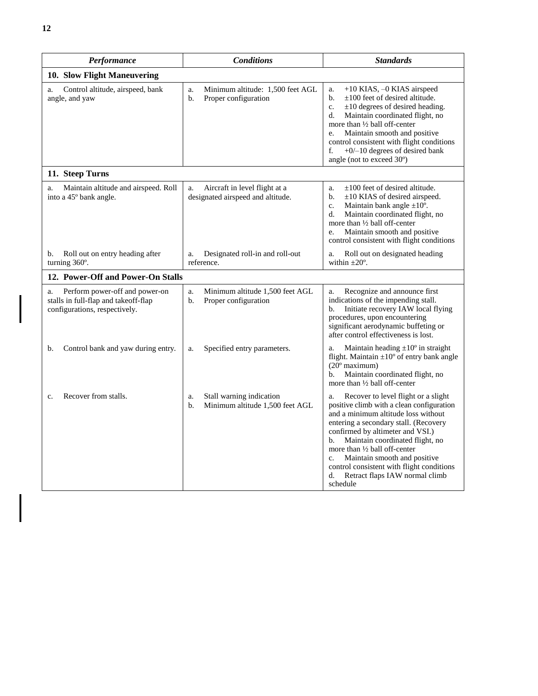| Performance                                                                                                   | <b>Conditions</b>                                                        | <b>Standards</b>                                                                                                                                                                                                                                                                                                                                                                                                                                           |  |  |  |
|---------------------------------------------------------------------------------------------------------------|--------------------------------------------------------------------------|------------------------------------------------------------------------------------------------------------------------------------------------------------------------------------------------------------------------------------------------------------------------------------------------------------------------------------------------------------------------------------------------------------------------------------------------------------|--|--|--|
| 10. Slow Flight Maneuvering                                                                                   |                                                                          |                                                                                                                                                                                                                                                                                                                                                                                                                                                            |  |  |  |
| Control altitude, airspeed, bank<br>a.<br>angle, and yaw                                                      | Minimum altitude: 1,500 feet AGL<br>a.<br>b.<br>Proper configuration     | +10 KIAS, -0 KIAS airspeed<br>a.<br>b.<br>$\pm 100$ feet of desired altitude.<br>$\mathbf{c}$ .<br>$\pm 10$ degrees of desired heading.<br>Maintain coordinated flight, no<br>d.<br>more than $\frac{1}{2}$ ball off-center<br>Maintain smooth and positive<br>e.<br>control consistent with flight conditions<br>$+0$ /-10 degrees of desired bank<br>f.<br>angle (not to exceed $30^{\circ}$ )                                                           |  |  |  |
| 11. Steep Turns                                                                                               |                                                                          |                                                                                                                                                                                                                                                                                                                                                                                                                                                            |  |  |  |
| Maintain altitude and airspeed. Roll<br>a.<br>into a 45° bank angle.                                          | Aircraft in level flight at a<br>a.<br>designated airspeed and altitude. | $\pm 100$ feet of desired altitude.<br>a.<br>$\pm 10$ KIAS of desired airspeed.<br>b.<br>Maintain bank angle $\pm 10^{\circ}$ .<br>c.<br>Maintain coordinated flight, no<br>d.<br>more than 1/2 ball off-center<br>Maintain smooth and positive<br>e.<br>control consistent with flight conditions                                                                                                                                                         |  |  |  |
| Roll out on entry heading after<br>b.<br>turning 360°.                                                        | Designated roll-in and roll-out<br>a.<br>reference.                      | Roll out on designated heading<br>a.<br>within $\pm 20^\circ$ .                                                                                                                                                                                                                                                                                                                                                                                            |  |  |  |
| 12. Power-Off and Power-On Stalls                                                                             |                                                                          |                                                                                                                                                                                                                                                                                                                                                                                                                                                            |  |  |  |
| Perform power-off and power-on<br>a.<br>stalls in full-flap and takeoff-flap<br>configurations, respectively. | Minimum altitude 1,500 feet AGL<br>a.<br>b.<br>Proper configuration      | Recognize and announce first<br>a.<br>indications of the impending stall.<br>Initiate recovery IAW local flying<br>$h_{\cdot}$<br>procedures, upon encountering<br>significant aerodynamic buffeting or<br>after control effectiveness is lost.                                                                                                                                                                                                            |  |  |  |
| Control bank and yaw during entry.<br>b.                                                                      | Specified entry parameters.<br>a.                                        | Maintain heading $\pm 10^{\circ}$ in straight<br>a.<br>flight. Maintain $\pm 10^{\circ}$ of entry bank angle<br>$(20^{\circ}$ maximum)<br>Maintain coordinated flight, no<br>b.<br>more than $\frac{1}{2}$ ball off-center                                                                                                                                                                                                                                 |  |  |  |
| Recover from stalls.<br>c.                                                                                    | Stall warning indication<br>a.<br>Minimum altitude 1,500 feet AGL<br>b.  | Recover to level flight or a slight<br>a.<br>positive climb with a clean configuration<br>and a minimum altitude loss without<br>entering a secondary stall. (Recovery<br>confirmed by altimeter and VSI.)<br>Maintain coordinated flight, no<br>$\mathbf{b}$ .<br>more than $\frac{1}{2}$ ball off-center<br>Maintain smooth and positive<br>$C_{\star}$<br>control consistent with flight conditions<br>Retract flaps IAW normal climb<br>d.<br>schedule |  |  |  |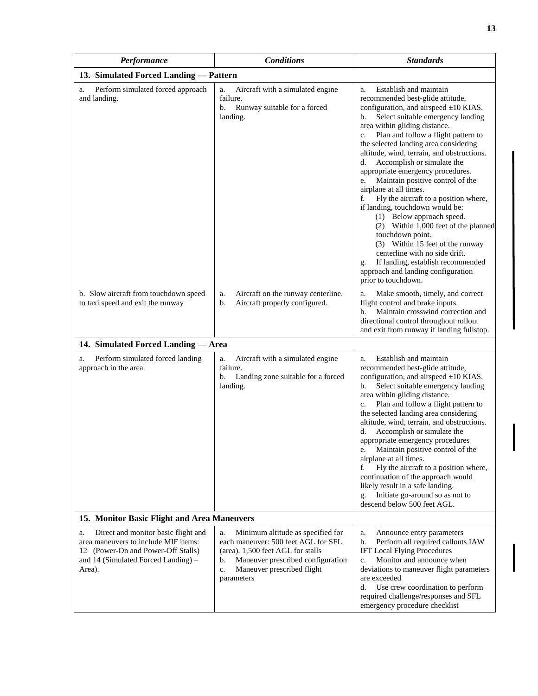| Performance                                                                                                                                                              | <b>Conditions</b>                                                                                                                                                                                                | <b>Standards</b>                                                                                                                                                                                                                                                                                                                                                                                                                                                                                                                                                                                                                                                                                                                                                                                                                     |  |  |
|--------------------------------------------------------------------------------------------------------------------------------------------------------------------------|------------------------------------------------------------------------------------------------------------------------------------------------------------------------------------------------------------------|--------------------------------------------------------------------------------------------------------------------------------------------------------------------------------------------------------------------------------------------------------------------------------------------------------------------------------------------------------------------------------------------------------------------------------------------------------------------------------------------------------------------------------------------------------------------------------------------------------------------------------------------------------------------------------------------------------------------------------------------------------------------------------------------------------------------------------------|--|--|
| 13. Simulated Forced Landing - Pattern                                                                                                                                   |                                                                                                                                                                                                                  |                                                                                                                                                                                                                                                                                                                                                                                                                                                                                                                                                                                                                                                                                                                                                                                                                                      |  |  |
| Perform simulated forced approach<br>a.<br>and landing.                                                                                                                  | Aircraft with a simulated engine<br>a.<br>failure.<br>Runway suitable for a forced<br>b.<br>landing.                                                                                                             | Establish and maintain<br>a.<br>recommended best-glide attitude,<br>configuration, and airspeed $\pm 10$ KIAS.<br>Select suitable emergency landing<br>b.<br>area within gliding distance.<br>Plan and follow a flight pattern to<br>c.<br>the selected landing area considering<br>altitude, wind, terrain, and obstructions.<br>Accomplish or simulate the<br>d.<br>appropriate emergency procedures.<br>Maintain positive control of the<br>e.<br>airplane at all times.<br>Fly the aircraft to a position where,<br>f.<br>if landing, touchdown would be:<br>(1) Below approach speed.<br>(2) Within 1,000 feet of the planned<br>touchdown point.<br>(3) Within 15 feet of the runway<br>centerline with no side drift.<br>If landing, establish recommended<br>g.<br>approach and landing configuration<br>prior to touchdown. |  |  |
| b. Slow aircraft from touchdown speed<br>to taxi speed and exit the runway                                                                                               | Aircraft on the runway centerline.<br>a.<br>Aircraft properly configured.<br>b.                                                                                                                                  | Make smooth, timely, and correct<br>a.<br>flight control and brake inputs.<br>Maintain crosswind correction and<br>b.<br>directional control throughout rollout<br>and exit from runway if landing fullstop.                                                                                                                                                                                                                                                                                                                                                                                                                                                                                                                                                                                                                         |  |  |
| 14. Simulated Forced Landing - Area                                                                                                                                      |                                                                                                                                                                                                                  |                                                                                                                                                                                                                                                                                                                                                                                                                                                                                                                                                                                                                                                                                                                                                                                                                                      |  |  |
| Perform simulated forced landing<br>a.<br>approach in the area.                                                                                                          | Aircraft with a simulated engine<br>a.<br>failure.<br>b.<br>Landing zone suitable for a forced<br>landing.                                                                                                       | Establish and maintain<br>a.<br>recommended best-glide attitude,<br>configuration, and airspeed $\pm 10$ KIAS.<br>Select suitable emergency landing<br>b.<br>area within gliding distance.<br>Plan and follow a flight pattern to<br>c.<br>the selected landing area considering<br>altitude, wind, terrain, and obstructions.<br>Accomplish or simulate the<br>d.<br>appropriate emergency procedures<br>Maintain positive control of the<br>e.<br>airplane at all times.<br>Fly the aircraft to a position where,<br>f.<br>continuation of the approach would<br>likely result in a safe landing.<br>Initiate go-around so as not to<br>g.<br>descend below 500 feet AGL.                                                                                                                                                          |  |  |
| 15. Monitor Basic Flight and Area Maneuvers                                                                                                                              |                                                                                                                                                                                                                  |                                                                                                                                                                                                                                                                                                                                                                                                                                                                                                                                                                                                                                                                                                                                                                                                                                      |  |  |
| Direct and monitor basic flight and<br>a.<br>area maneuvers to include MIF items:<br>12 (Power-On and Power-Off Stalls)<br>and 14 (Simulated Forced Landing) -<br>Area). | Minimum altitude as specified for<br>a.<br>each maneuver: 500 feet AGL for SFL<br>(area). 1,500 feet AGL for stalls<br>Maneuver prescribed configuration<br>b.<br>Maneuver prescribed flight<br>c.<br>parameters | Announce entry parameters<br>a.<br>Perform all required callouts IAW<br>b.<br><b>IFT Local Flying Procedures</b><br>Monitor and announce when<br>c.<br>deviations to maneuver flight parameters<br>are exceeded<br>Use crew coordination to perform<br>d.<br>required challenge/responses and SFL<br>emergency procedure checklist                                                                                                                                                                                                                                                                                                                                                                                                                                                                                                   |  |  |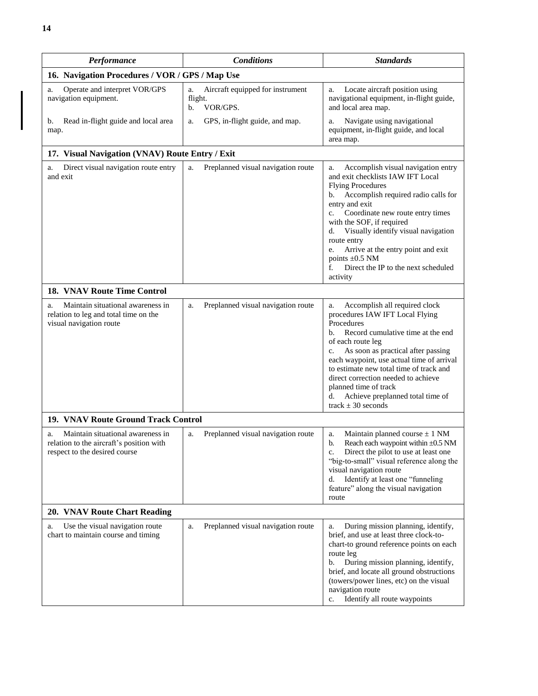| Performance                                                                                                          | <b>Conditions</b>                                                   | <b>Standards</b>                                                                                                                                                                                                                                                                                                                                                                                                                        |
|----------------------------------------------------------------------------------------------------------------------|---------------------------------------------------------------------|-----------------------------------------------------------------------------------------------------------------------------------------------------------------------------------------------------------------------------------------------------------------------------------------------------------------------------------------------------------------------------------------------------------------------------------------|
| 16. Navigation Procedures / VOR / GPS / Map Use                                                                      |                                                                     |                                                                                                                                                                                                                                                                                                                                                                                                                                         |
| Operate and interpret VOR/GPS<br>a.<br>navigation equipment.                                                         | Aircraft equipped for instrument<br>a.<br>flight.<br>VOR/GPS.<br>b. | Locate aircraft position using<br>a.<br>navigational equipment, in-flight guide,<br>and local area map.                                                                                                                                                                                                                                                                                                                                 |
| Read in-flight guide and local area<br>b.<br>map.                                                                    | GPS, in-flight guide, and map.<br>a.                                | Navigate using navigational<br>a.<br>equipment, in-flight guide, and local<br>area map.                                                                                                                                                                                                                                                                                                                                                 |
| 17. Visual Navigation (VNAV) Route Entry / Exit                                                                      |                                                                     |                                                                                                                                                                                                                                                                                                                                                                                                                                         |
| Direct visual navigation route entry<br>a.<br>and exit                                                               | Preplanned visual navigation route<br>a.                            | Accomplish visual navigation entry<br>a.<br>and exit checklists IAW IFT Local<br><b>Flying Procedures</b><br>Accomplish required radio calls for<br>b.<br>entry and exit<br>Coordinate new route entry times<br>c.<br>with the SOF, if required<br>Visually identify visual navigation<br>d.<br>route entry<br>Arrive at the entry point and exit<br>e.<br>points $\pm 0.5$ NM<br>Direct the IP to the next scheduled<br>f.<br>activity |
| <b>18. VNAV Route Time Control</b>                                                                                   |                                                                     |                                                                                                                                                                                                                                                                                                                                                                                                                                         |
| Maintain situational awareness in<br>a.<br>relation to leg and total time on the<br>visual navigation route          | Preplanned visual navigation route<br>a.                            | Accomplish all required clock<br>a.<br>procedures IAW IFT Local Flying<br>Procedures<br>Record cumulative time at the end<br>b.<br>of each route leg<br>As soon as practical after passing<br>c.<br>each waypoint, use actual time of arrival<br>to estimate new total time of track and<br>direct correction needed to achieve<br>planned time of track<br>Achieve preplanned total time of<br>d.<br>track $\pm$ 30 seconds            |
| 19. VNAV Route Ground Track Control                                                                                  |                                                                     |                                                                                                                                                                                                                                                                                                                                                                                                                                         |
| Maintain situational awareness in<br>a.<br>relation to the aircraft's position with<br>respect to the desired course | Preplanned visual navigation route<br>a.                            | Maintain planned course $\pm$ 1 NM<br>a.<br>b.<br>Reach each waypoint within $\pm 0.5$ NM<br>Direct the pilot to use at least one<br>c.<br>"big-to-small" visual reference along the<br>visual navigation route<br>Identify at least one "funneling<br>d.<br>feature" along the visual navigation<br>route                                                                                                                              |
| 20. VNAV Route Chart Reading                                                                                         |                                                                     |                                                                                                                                                                                                                                                                                                                                                                                                                                         |
| Use the visual navigation route<br>a.<br>chart to maintain course and timing                                         | Preplanned visual navigation route<br>a.                            | During mission planning, identify,<br>a.<br>brief, and use at least three clock-to-<br>chart-to ground reference points on each<br>route leg<br>During mission planning, identify,<br>b.<br>brief, and locate all ground obstructions<br>(towers/power lines, etc) on the visual<br>navigation route<br>Identify all route waypoints<br>c.                                                                                              |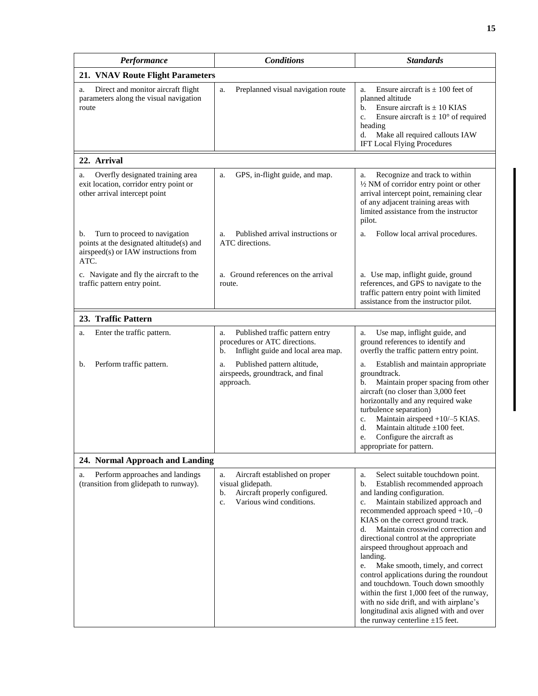| Performance                                                                                                                     | <b>Conditions</b>                                                                                                                  | <b>Standards</b>                                                                                                                                                                                                                                                                                                                                                                                                                                                                                                                                                                                                                                                                 |
|---------------------------------------------------------------------------------------------------------------------------------|------------------------------------------------------------------------------------------------------------------------------------|----------------------------------------------------------------------------------------------------------------------------------------------------------------------------------------------------------------------------------------------------------------------------------------------------------------------------------------------------------------------------------------------------------------------------------------------------------------------------------------------------------------------------------------------------------------------------------------------------------------------------------------------------------------------------------|
| 21. VNAV Route Flight Parameters                                                                                                |                                                                                                                                    |                                                                                                                                                                                                                                                                                                                                                                                                                                                                                                                                                                                                                                                                                  |
| Direct and monitor aircraft flight<br>a.<br>parameters along the visual navigation<br>route                                     | Preplanned visual navigation route<br>a.                                                                                           | Ensure aircraft is $\pm$ 100 feet of<br>a.<br>planned altitude<br>b.<br>Ensure aircraft is $\pm$ 10 KIAS<br>Ensure aircraft is $\pm 10^{\circ}$ of required<br>c.<br>heading<br>Make all required callouts IAW<br>d.<br>IFT Local Flying Procedures                                                                                                                                                                                                                                                                                                                                                                                                                              |
| 22. Arrival                                                                                                                     |                                                                                                                                    |                                                                                                                                                                                                                                                                                                                                                                                                                                                                                                                                                                                                                                                                                  |
| Overfly designated training area<br>a.<br>exit location, corridor entry point or<br>other arrival intercept point               | GPS, in-flight guide, and map.<br>a.                                                                                               | Recognize and track to within<br>a.<br>1/2 NM of corridor entry point or other<br>arrival intercept point, remaining clear<br>of any adjacent training areas with<br>limited assistance from the instructor<br>pilot.                                                                                                                                                                                                                                                                                                                                                                                                                                                            |
| Turn to proceed to navigation<br>b.<br>points at the designated altitude(s) and<br>airspeed(s) or IAW instructions from<br>ATC. | Published arrival instructions or<br>a.<br>ATC directions.                                                                         | Follow local arrival procedures.<br>a.                                                                                                                                                                                                                                                                                                                                                                                                                                                                                                                                                                                                                                           |
| c. Navigate and fly the aircraft to the<br>traffic pattern entry point.                                                         | Ground references on the arrival<br>a.<br>route.                                                                                   | a. Use map, inflight guide, ground<br>references, and GPS to navigate to the<br>traffic pattern entry point with limited<br>assistance from the instructor pilot.                                                                                                                                                                                                                                                                                                                                                                                                                                                                                                                |
| 23. Traffic Pattern                                                                                                             |                                                                                                                                    |                                                                                                                                                                                                                                                                                                                                                                                                                                                                                                                                                                                                                                                                                  |
| Enter the traffic pattern.<br>a.                                                                                                | Published traffic pattern entry<br>a.<br>procedures or ATC directions.<br>Inflight guide and local area map.<br>b.                 | Use map, inflight guide, and<br>a.<br>ground references to identify and<br>overfly the traffic pattern entry point.                                                                                                                                                                                                                                                                                                                                                                                                                                                                                                                                                              |
| Perform traffic pattern.<br>b.                                                                                                  | Published pattern altitude,<br>a.<br>airspeeds, groundtrack, and final<br>approach.                                                | Establish and maintain appropriate<br>a.<br>groundtrack.<br>Maintain proper spacing from other<br>b.<br>aircraft (no closer than 3,000 feet<br>horizontally and any required wake<br>turbulence separation)<br>Maintain airspeed +10/-5 KIAS.<br>c.<br>Maintain altitude $\pm 100$ feet.<br>d.<br>Configure the aircraft as<br>e.<br>appropriate for pattern.                                                                                                                                                                                                                                                                                                                    |
| 24. Normal Approach and Landing                                                                                                 |                                                                                                                                    |                                                                                                                                                                                                                                                                                                                                                                                                                                                                                                                                                                                                                                                                                  |
| Perform approaches and landings<br>a.<br>(transition from glidepath to runway).                                                 | Aircraft established on proper<br>a.<br>visual glidepath.<br>Aircraft properly configured.<br>b.<br>Various wind conditions.<br>c. | Select suitable touchdown point.<br>a.<br>Establish recommended approach<br>b.<br>and landing configuration.<br>Maintain stabilized approach and<br>c.<br>recommended approach speed $+10, -0$<br>KIAS on the correct ground track.<br>Maintain crosswind correction and<br>d.<br>directional control at the appropriate<br>airspeed throughout approach and<br>landing.<br>Make smooth, timely, and correct<br>e.<br>control applications during the roundout<br>and touchdown. Touch down smoothly<br>within the first 1,000 feet of the runway,<br>with no side drift, and with airplane's<br>longitudinal axis aligned with and over<br>the runway centerline $\pm 15$ feet. |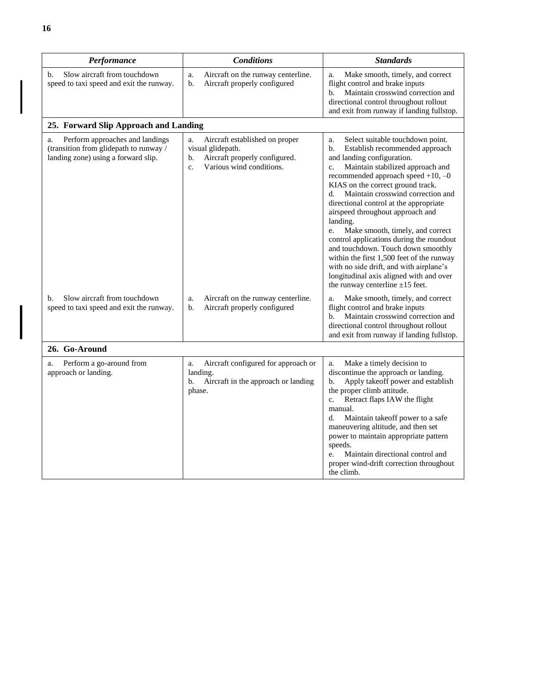| Performance                                                                                                            | <b>Conditions</b>                                                                                                                  | <b>Standards</b>                                                                                                                                                                                                                                                                                                                                                                                                                                                                                                                                                                                                                                                                |
|------------------------------------------------------------------------------------------------------------------------|------------------------------------------------------------------------------------------------------------------------------------|---------------------------------------------------------------------------------------------------------------------------------------------------------------------------------------------------------------------------------------------------------------------------------------------------------------------------------------------------------------------------------------------------------------------------------------------------------------------------------------------------------------------------------------------------------------------------------------------------------------------------------------------------------------------------------|
| Slow aircraft from touchdown<br>b.<br>speed to taxi speed and exit the runway.                                         | Aircraft on the runway centerline.<br>a.<br>Aircraft properly configured<br>b.                                                     | Make smooth, timely, and correct<br>a.<br>flight control and brake inputs<br>Maintain crosswind correction and<br>b.<br>directional control throughout rollout<br>and exit from runway if landing fullstop.                                                                                                                                                                                                                                                                                                                                                                                                                                                                     |
| 25. Forward Slip Approach and Landing                                                                                  |                                                                                                                                    |                                                                                                                                                                                                                                                                                                                                                                                                                                                                                                                                                                                                                                                                                 |
| Perform approaches and landings<br>a.<br>(transition from glidepath to runway /<br>landing zone) using a forward slip. | Aircraft established on proper<br>a.<br>visual glidepath.<br>Aircraft properly configured.<br>b.<br>Various wind conditions.<br>c. | Select suitable touchdown point.<br>a.<br>b.<br>Establish recommended approach<br>and landing configuration.<br>Maintain stabilized approach and<br>c.<br>recommended approach speed $+10, -0$<br>KIAS on the correct ground track.<br>Maintain crosswind correction and<br>d.<br>directional control at the appropriate<br>airspeed throughout approach and<br>landing.<br>Make smooth, timely, and correct<br>e.<br>control applications during the roundout<br>and touchdown. Touch down smoothly<br>within the first 1,500 feet of the runway<br>with no side drift, and with airplane's<br>longitudinal axis aligned with and over<br>the runway centerline $\pm 15$ feet. |
| Slow aircraft from touchdown<br>b.<br>speed to taxi speed and exit the runway.                                         | Aircraft on the runway centerline.<br>a.<br>Aircraft properly configured<br>b.                                                     | Make smooth, timely, and correct<br>a.<br>flight control and brake inputs<br>Maintain crosswind correction and<br>b.<br>directional control throughout rollout<br>and exit from runway if landing fullstop.                                                                                                                                                                                                                                                                                                                                                                                                                                                                     |
| 26. Go-Around                                                                                                          |                                                                                                                                    |                                                                                                                                                                                                                                                                                                                                                                                                                                                                                                                                                                                                                                                                                 |
| Perform a go-around from<br>a.<br>approach or landing.                                                                 | Aircraft configured for approach or<br>a.<br>landing.<br>Aircraft in the approach or landing<br>b.<br>phase.                       | Make a timely decision to<br>a.<br>discontinue the approach or landing.<br>Apply takeoff power and establish<br>b.<br>the proper climb attitude.<br>$\mathbf{c}$ .<br>Retract flaps IAW the flight<br>manual.<br>d.<br>Maintain takeoff power to a safe<br>maneuvering altitude, and then set<br>power to maintain appropriate pattern<br>speeds.<br>Maintain directional control and<br>e.<br>proper wind-drift correction throughout<br>the climb.                                                                                                                                                                                                                            |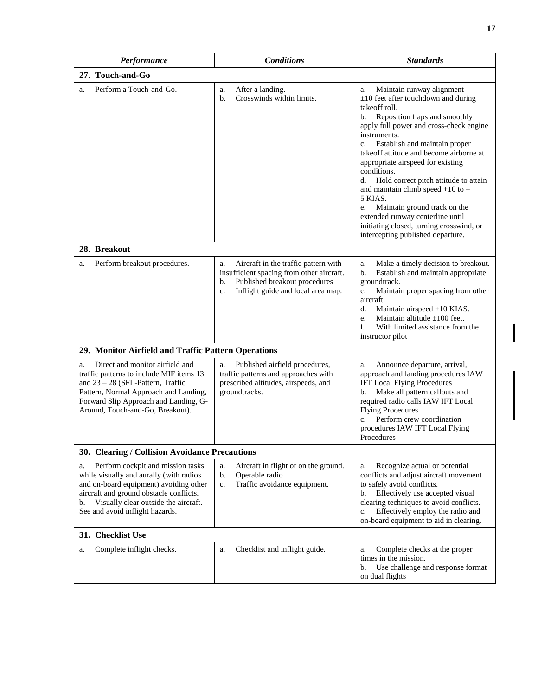| Performance                                                                                                                                                                                                                                              | <b>Conditions</b>                                                                                                                                                          | <b>Standards</b>                                                                                                                                                                                                                                                                                                                                                                                                                                                                                                                                                                                    |
|----------------------------------------------------------------------------------------------------------------------------------------------------------------------------------------------------------------------------------------------------------|----------------------------------------------------------------------------------------------------------------------------------------------------------------------------|-----------------------------------------------------------------------------------------------------------------------------------------------------------------------------------------------------------------------------------------------------------------------------------------------------------------------------------------------------------------------------------------------------------------------------------------------------------------------------------------------------------------------------------------------------------------------------------------------------|
| 27. Touch-and-Go                                                                                                                                                                                                                                         |                                                                                                                                                                            |                                                                                                                                                                                                                                                                                                                                                                                                                                                                                                                                                                                                     |
| Perform a Touch-and-Go.<br>a.                                                                                                                                                                                                                            | After a landing.<br>a.<br>Crosswinds within limits.<br>b.                                                                                                                  | Maintain runway alignment<br>a.<br>$\pm 10$ feet after touchdown and during<br>take off roll.<br>Reposition flaps and smoothly<br>b.<br>apply full power and cross-check engine<br>instruments.<br>Establish and maintain proper<br>c.<br>takeoff attitude and become airborne at<br>appropriate airspeed for existing<br>conditions.<br>Hold correct pitch attitude to attain<br>d.<br>and maintain climb speed $+10$ to $-$<br>5 KIAS.<br>Maintain ground track on the<br>e.<br>extended runway centerline until<br>initiating closed, turning crosswind, or<br>intercepting published departure. |
| 28. Breakout                                                                                                                                                                                                                                             |                                                                                                                                                                            |                                                                                                                                                                                                                                                                                                                                                                                                                                                                                                                                                                                                     |
| Perform breakout procedures.<br>a.                                                                                                                                                                                                                       | Aircraft in the traffic pattern with<br>a.<br>insufficient spacing from other aircraft.<br>Published breakout procedures<br>b.<br>Inflight guide and local area map.<br>c. | Make a timely decision to breakout.<br>a.<br>Establish and maintain appropriate<br>b.<br>groundtrack.<br>Maintain proper spacing from other<br>$\mathbf{c}$ .<br>aircraft.<br>d.<br>Maintain airspeed $\pm 10$ KIAS.<br>Maintain altitude $\pm 100$ feet.<br>e.<br>f.<br>With limited assistance from the<br>instructor pilot                                                                                                                                                                                                                                                                       |
| 29. Monitor Airfield and Traffic Pattern Operations                                                                                                                                                                                                      |                                                                                                                                                                            |                                                                                                                                                                                                                                                                                                                                                                                                                                                                                                                                                                                                     |
| Direct and monitor airfield and<br>a.<br>traffic patterns to include MIF items 13<br>and $23 - 28$ (SFL-Pattern, Traffic<br>Pattern, Normal Approach and Landing,<br>Forward Slip Approach and Landing, G-<br>Around, Touch-and-Go, Breakout).           | Published airfield procedures,<br>a.<br>traffic patterns and approaches with<br>prescribed altitudes, airspeeds, and<br>groundtracks.                                      | Announce departure, arrival,<br>a.<br>approach and landing procedures IAW<br><b>IFT Local Flying Procedures</b><br>Make all pattern callouts and<br>b.<br>required radio calls IAW IFT Local<br><b>Flying Procedures</b><br>Perform crew coordination<br>$\mathbf{c}$ .<br>procedures IAW IFT Local Flying<br>Procedures                                                                                                                                                                                                                                                                            |
| 30. Clearing / Collision Avoidance Precautions                                                                                                                                                                                                           |                                                                                                                                                                            |                                                                                                                                                                                                                                                                                                                                                                                                                                                                                                                                                                                                     |
| Perform cockpit and mission tasks<br>a.<br>while visually and aurally (with radios<br>and on-board equipment) avoiding other<br>aircraft and ground obstacle conflicts.<br>Visually clear outside the aircraft.<br>b.<br>See and avoid inflight hazards. | Aircraft in flight or on the ground.<br>a.<br>Operable radio<br>b.<br>Traffic avoidance equipment.<br>c.                                                                   | Recognize actual or potential<br>a.<br>conflicts and adjust aircraft movement<br>to safely avoid conflicts.<br>Effectively use accepted visual<br>b.<br>clearing techniques to avoid conflicts.<br>Effectively employ the radio and<br>c.<br>on-board equipment to aid in clearing.                                                                                                                                                                                                                                                                                                                 |
| 31. Checklist Use                                                                                                                                                                                                                                        |                                                                                                                                                                            |                                                                                                                                                                                                                                                                                                                                                                                                                                                                                                                                                                                                     |
| Complete inflight checks.<br>a.                                                                                                                                                                                                                          | Checklist and inflight guide.<br>a.                                                                                                                                        | Complete checks at the proper<br>a.<br>times in the mission.<br>Use challenge and response format<br>b.<br>on dual flights                                                                                                                                                                                                                                                                                                                                                                                                                                                                          |

 $\begin{array}{c} \hline \end{array}$ 

 $\overline{\mathbf{I}}$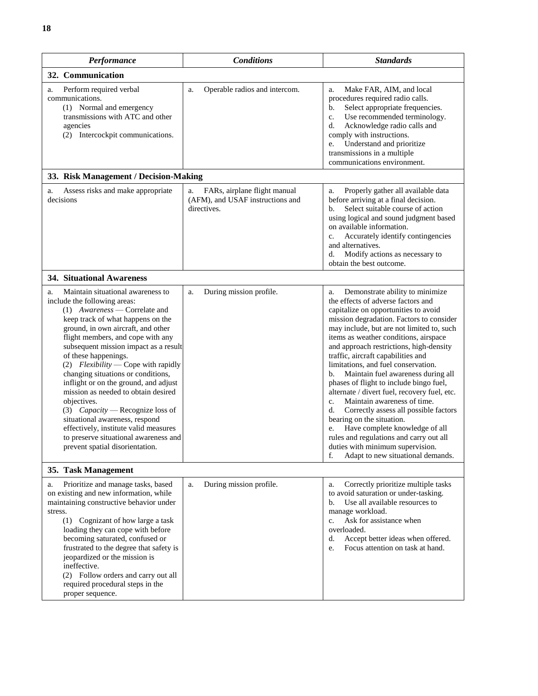| 8                                                                                               |                                                                  |              |                                     |                      |                                                                                                                                                                                                                                                                                  |
|-------------------------------------------------------------------------------------------------|------------------------------------------------------------------|--------------|-------------------------------------|----------------------|----------------------------------------------------------------------------------------------------------------------------------------------------------------------------------------------------------------------------------------------------------------------------------|
|                                                                                                 | <b>Performance</b>                                               |              | <b>Conditions</b>                   |                      | <b>Standards</b>                                                                                                                                                                                                                                                                 |
| 32. Communication                                                                               |                                                                  |              |                                     |                      |                                                                                                                                                                                                                                                                                  |
| Perform required verbal<br>a.<br>communications.<br>(1) Normal and emergency<br>agencies<br>(2) | transmissions with ATC and other<br>Intercockpit communications. | a.           | Operable radios and intercom.       | a.<br>b.<br>d.<br>e. | Make FAR, AIM, and local<br>procedures required radio calls.<br>Select appropriate frequenci<br>Use recommended terminolo<br>Acknowledge radio calls and<br>comply with instructions.<br>Understand and prioritize<br>transmissions in a multiple<br>communications environment. |
|                                                                                                 | 33. Risk Management / Decision-Making                            |              |                                     |                      |                                                                                                                                                                                                                                                                                  |
|                                                                                                 | Access ricks and make anomoniate                                 | $\mathbf{a}$ | $F\Delta Re$ airplane flight manual | я                    | Properly gather all available                                                                                                                                                                                                                                                    |

| agencies<br>Intercockpit communications.<br>(2)                                                                                                                                                                                                                                                                                                                                                                                                                                                                                                                                                                                                                      |                                                                                       | Acknowledge radio calls and<br>d.<br>comply with instructions.<br>Understand and prioritize<br>e.<br>transmissions in a multiple<br>communications environment.                                                                                                                                                                                                                                                                                                                                                                                                                                                                                                                                                                                                                                         |
|----------------------------------------------------------------------------------------------------------------------------------------------------------------------------------------------------------------------------------------------------------------------------------------------------------------------------------------------------------------------------------------------------------------------------------------------------------------------------------------------------------------------------------------------------------------------------------------------------------------------------------------------------------------------|---------------------------------------------------------------------------------------|---------------------------------------------------------------------------------------------------------------------------------------------------------------------------------------------------------------------------------------------------------------------------------------------------------------------------------------------------------------------------------------------------------------------------------------------------------------------------------------------------------------------------------------------------------------------------------------------------------------------------------------------------------------------------------------------------------------------------------------------------------------------------------------------------------|
| 33. Risk Management / Decision-Making                                                                                                                                                                                                                                                                                                                                                                                                                                                                                                                                                                                                                                |                                                                                       |                                                                                                                                                                                                                                                                                                                                                                                                                                                                                                                                                                                                                                                                                                                                                                                                         |
| Assess risks and make appropriate<br>a.<br>decisions                                                                                                                                                                                                                                                                                                                                                                                                                                                                                                                                                                                                                 | FARs, airplane flight manual<br>a.<br>(AFM), and USAF instructions and<br>directives. | Properly gather all available data<br>a.<br>before arriving at a final decision.<br>Select suitable course of action<br>b.<br>using logical and sound judgment based<br>on available information.<br>Accurately identify contingencies<br>$\mathbf{c}$ .<br>and alternatives.<br>Modify actions as necessary to<br>d.<br>obtain the best outcome.                                                                                                                                                                                                                                                                                                                                                                                                                                                       |
| <b>34. Situational Awareness</b>                                                                                                                                                                                                                                                                                                                                                                                                                                                                                                                                                                                                                                     |                                                                                       |                                                                                                                                                                                                                                                                                                                                                                                                                                                                                                                                                                                                                                                                                                                                                                                                         |
| Maintain situational awareness to<br>a.<br>include the following areas:<br>$(1)$ Awareness — Correlate and<br>keep track of what happens on the<br>ground, in own aircraft, and other<br>flight members, and cope with any<br>subsequent mission impact as a result<br>of these happenings.<br>(2) Flexibility — Cope with rapidly<br>changing situations or conditions,<br>inflight or on the ground, and adjust<br>mission as needed to obtain desired<br>objectives.<br>(3) $Capacity$ - Recognize loss of<br>situational awareness, respond<br>effectively, institute valid measures<br>to preserve situational awareness and<br>prevent spatial disorientation. | During mission profile.<br>a.                                                         | Demonstrate ability to minimize<br>a.<br>the effects of adverse factors and<br>capitalize on opportunities to avoid<br>mission degradation. Factors to consider<br>may include, but are not limited to, such<br>items as weather conditions, airspace<br>and approach restrictions, high-density<br>traffic, aircraft capabilities and<br>limitations, and fuel conservation.<br>Maintain fuel awareness during all<br>b.<br>phases of flight to include bingo fuel,<br>alternate / divert fuel, recovery fuel, etc.<br>Maintain awareness of time.<br>c.<br>d.<br>Correctly assess all possible factors<br>bearing on the situation.<br>Have complete knowledge of all<br>e.<br>rules and regulations and carry out all<br>duties with minimum supervision.<br>Adapt to new situational demands.<br>f. |
| 35. Task Management                                                                                                                                                                                                                                                                                                                                                                                                                                                                                                                                                                                                                                                  |                                                                                       |                                                                                                                                                                                                                                                                                                                                                                                                                                                                                                                                                                                                                                                                                                                                                                                                         |
| Prioritize and manage tasks, based<br>a.<br>on existing and new information, while<br>maintaining constructive behavior under<br>stress.<br>(1) Cognizant of how large a task<br>loading they can cope with before<br>becoming saturated, confused or<br>frustrated to the degree that safety is<br>jeopardized or the mission is<br>ineffective.<br>(2) Follow orders and carry out all<br>required procedural steps in the                                                                                                                                                                                                                                         | During mission profile.<br>a.                                                         | Correctly prioritize multiple tasks<br>a.<br>to avoid saturation or under-tasking.<br>Use all available resources to<br>b.<br>manage workload.<br>Ask for assistance when<br>c.<br>overloaded.<br>d.<br>Accept better ideas when offered.<br>Focus attention on task at hand.<br>e.                                                                                                                                                                                                                                                                                                                                                                                                                                                                                                                     |

procedures required radio calls. b. Select appropriate frequencies. c. Use recommended terminology.

proper sequence.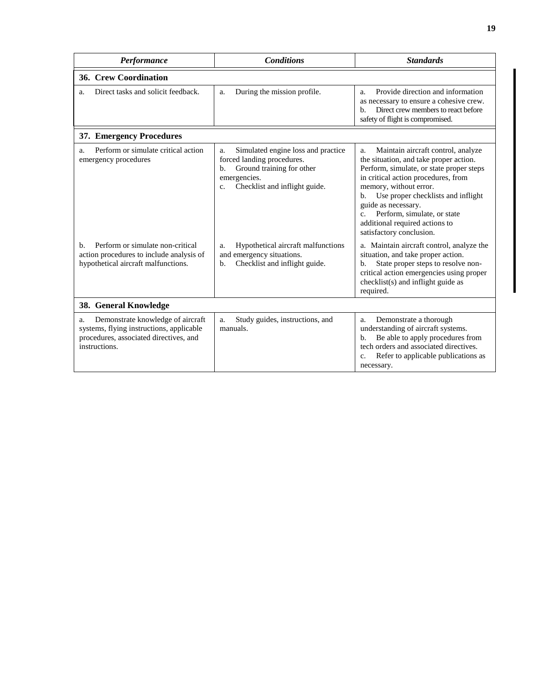| Performance                                                                                                                                    | <b>Conditions</b>                                                                                                                                                                                            | <b>Standards</b>                                                                                                                                                                                                                                                                                                                                                                                                            |  |  |  |  |
|------------------------------------------------------------------------------------------------------------------------------------------------|--------------------------------------------------------------------------------------------------------------------------------------------------------------------------------------------------------------|-----------------------------------------------------------------------------------------------------------------------------------------------------------------------------------------------------------------------------------------------------------------------------------------------------------------------------------------------------------------------------------------------------------------------------|--|--|--|--|
| <b>36. Crew Coordination</b>                                                                                                                   |                                                                                                                                                                                                              |                                                                                                                                                                                                                                                                                                                                                                                                                             |  |  |  |  |
| Direct tasks and solicit feedback.<br>a.                                                                                                       | During the mission profile.<br>a.                                                                                                                                                                            | Provide direction and information<br>a.<br>as necessary to ensure a cohesive crew.<br>Direct crew members to react before<br>b.<br>safety of flight is compromised.                                                                                                                                                                                                                                                         |  |  |  |  |
| 37. Emergency Procedures                                                                                                                       |                                                                                                                                                                                                              |                                                                                                                                                                                                                                                                                                                                                                                                                             |  |  |  |  |
| Perform or simulate critical action<br>a.<br>emergency procedures<br>Perform or simulate non-critical<br>b.                                    | Simulated engine loss and practice<br>a.<br>forced landing procedures.<br>Ground training for other<br>b.<br>emergencies.<br>Checklist and inflight guide.<br>c.<br>Hypothetical aircraft malfunctions<br>a. | Maintain aircraft control, analyze<br>a.<br>the situation, and take proper action.<br>Perform, simulate, or state proper steps<br>in critical action procedures, from<br>memory, without error.<br>Use proper checklists and inflight<br>b.<br>guide as necessary.<br>Perform, simulate, or state<br>$C_{\cdot}$<br>additional required actions to<br>satisfactory conclusion.<br>a. Maintain aircraft control, analyze the |  |  |  |  |
| action procedures to include analysis of<br>hypothetical aircraft malfunctions.                                                                | and emergency situations.<br>Checklist and inflight guide.<br>b.                                                                                                                                             | situation, and take proper action.<br>State proper steps to resolve non-<br>b.<br>critical action emergencies using proper<br>checklist(s) and inflight guide as<br>required.                                                                                                                                                                                                                                               |  |  |  |  |
| 38. General Knowledge                                                                                                                          |                                                                                                                                                                                                              |                                                                                                                                                                                                                                                                                                                                                                                                                             |  |  |  |  |
| Demonstrate knowledge of aircraft<br>a.<br>systems, flying instructions, applicable<br>procedures, associated directives, and<br>instructions. | Study guides, instructions, and<br>a.<br>manuals.                                                                                                                                                            | Demonstrate a thorough<br>a.<br>understanding of aircraft systems.<br>Be able to apply procedures from<br>$\mathbf{b}$ .<br>tech orders and associated directives.<br>Refer to applicable publications as<br>$C_{\star}$<br>necessary.                                                                                                                                                                                      |  |  |  |  |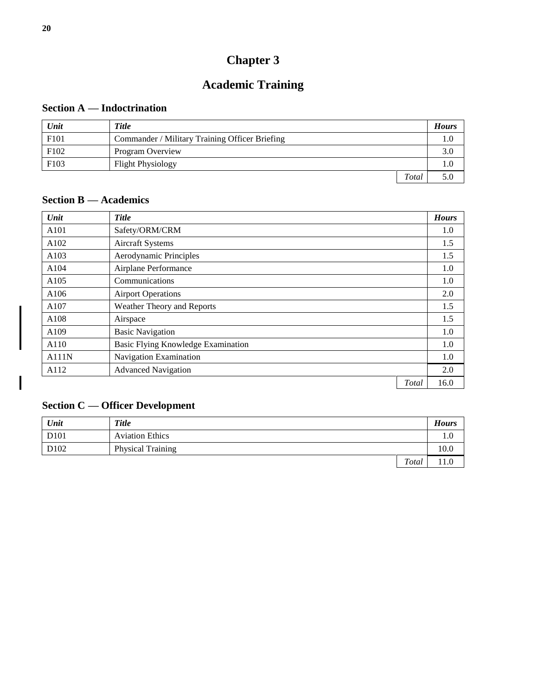# **Academic Training**

# <span id="page-23-1"></span><span id="page-23-0"></span>**Section A — Indoctrination**

| Unit | <b>Title</b>                                   |       | <b>Hours</b> |
|------|------------------------------------------------|-------|--------------|
| F101 | Commander / Military Training Officer Briefing |       | $_{1.0}$     |
| F102 | Program Overview                               |       | 3.0          |
| F103 | <b>Flight Physiology</b>                       |       | $1.0\,$      |
|      |                                                | Total | 5.0          |

# <span id="page-23-2"></span>**Section B — Academics**

| Unit  | <b>Title</b>                       | <b>Hours</b> |
|-------|------------------------------------|--------------|
| A101  | Safety/ORM/CRM                     | 1.0          |
| A102  | Aircraft Systems                   | 1.5          |
| A103  | Aerodynamic Principles             | 1.5          |
| A104  | Airplane Performance               | 1.0          |
| A105  | Communications                     | 1.0          |
| A106  | <b>Airport Operations</b>          | 2.0          |
| A107  | Weather Theory and Reports         | 1.5          |
| A108  | Airspace                           | 1.5          |
| A109  | <b>Basic Navigation</b>            | 1.0          |
| A110  | Basic Flying Knowledge Examination | 1.0          |
| A111N | Navigation Examination             | 1.0          |
| A112  | <b>Advanced Navigation</b>         | 2.0          |
|       | Total                              | 16.0         |

## <span id="page-23-3"></span>**Section C — Officer Development**

| Unit             | <b>Title</b>             |       | <b>Hours</b> |
|------------------|--------------------------|-------|--------------|
| D <sub>101</sub> | <b>Aviation Ethics</b>   |       | 1.0          |
| D102             | <b>Physical Training</b> |       | 10.0         |
|                  |                          | Total | 11.0         |

 $\overline{\mathbf{I}}$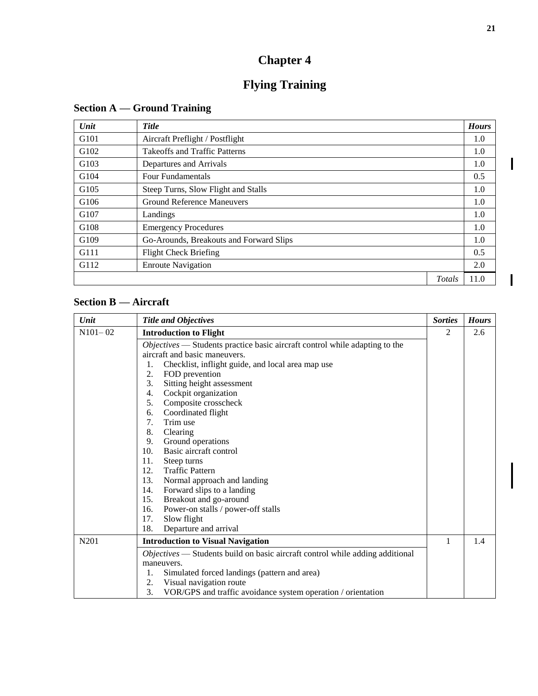# **Flying Training**

| Unit                                                     | <b>Title</b>                            |        | <b>Hours</b> |
|----------------------------------------------------------|-----------------------------------------|--------|--------------|
| G <sub>101</sub>                                         | Aircraft Preflight / Postflight         |        | 1.0          |
| G <sub>102</sub><br><b>Takeoffs and Traffic Patterns</b> |                                         | 1.0    |              |
| G103                                                     | Departures and Arrivals                 |        | 1.0          |
| G104                                                     | <b>Four Fundamentals</b>                |        | 0.5          |
| G105                                                     | Steep Turns, Slow Flight and Stalls     |        | 1.0          |
| G106                                                     | <b>Ground Reference Maneuvers</b>       |        | 1.0          |
| G107                                                     | Landings                                |        | 1.0          |
| G108                                                     | <b>Emergency Procedures</b>             |        | 1.0          |
| G109                                                     | Go-Arounds, Breakouts and Forward Slips |        | 1.0          |
| G111                                                     | <b>Flight Check Briefing</b>            |        | 0.5          |
| G112                                                     | <b>Enroute Navigation</b>               |        | 2.0          |
|                                                          |                                         | Totals | 11.0         |

# <span id="page-24-1"></span><span id="page-24-0"></span>**Section A — Ground Training**

# <span id="page-24-2"></span>**Section B — Aircraft**

| Unit        | <b>Title and Objectives</b>                                                   | <b>Sorties</b> | <b>Hours</b> |
|-------------|-------------------------------------------------------------------------------|----------------|--------------|
| $N101 - 02$ | <b>Introduction to Flight</b>                                                 | 2              | 2.6          |
|             | Objectives — Students practice basic aircraft control while adapting to the   |                |              |
|             | aircraft and basic maneuvers.                                                 |                |              |
|             | Checklist, inflight guide, and local area map use<br>1.                       |                |              |
|             | FOD prevention<br>2.                                                          |                |              |
|             | 3.<br>Sitting height assessment                                               |                |              |
|             | Cockpit organization<br>4.                                                    |                |              |
|             | 5.<br>Composite crosscheck                                                    |                |              |
|             | Coordinated flight<br>6.                                                      |                |              |
|             | 7.<br>Trim use                                                                |                |              |
|             | 8.<br>Clearing                                                                |                |              |
|             | 9.<br>Ground operations                                                       |                |              |
|             | 10.<br>Basic aircraft control                                                 |                |              |
|             | 11.<br>Steep turns                                                            |                |              |
|             | 12.<br><b>Traffic Pattern</b>                                                 |                |              |
|             | 13.<br>Normal approach and landing                                            |                |              |
|             | 14.<br>Forward slips to a landing                                             |                |              |
|             | Breakout and go-around<br>15.                                                 |                |              |
|             | Power-on stalls / power-off stalls<br>16.                                     |                |              |
|             | 17.<br>Slow flight                                                            |                |              |
|             | Departure and arrival<br>18.                                                  |                |              |
| N201        | <b>Introduction to Visual Navigation</b>                                      | 1              | 1.4          |
|             | Objectives - Students build on basic aircraft control while adding additional |                |              |
|             | maneuvers.                                                                    |                |              |
|             | Simulated forced landings (pattern and area)<br>1.                            |                |              |
|             | Visual navigation route<br>2.                                                 |                |              |
|             | 3.<br>VOR/GPS and traffic avoidance system operation / orientation            |                |              |

I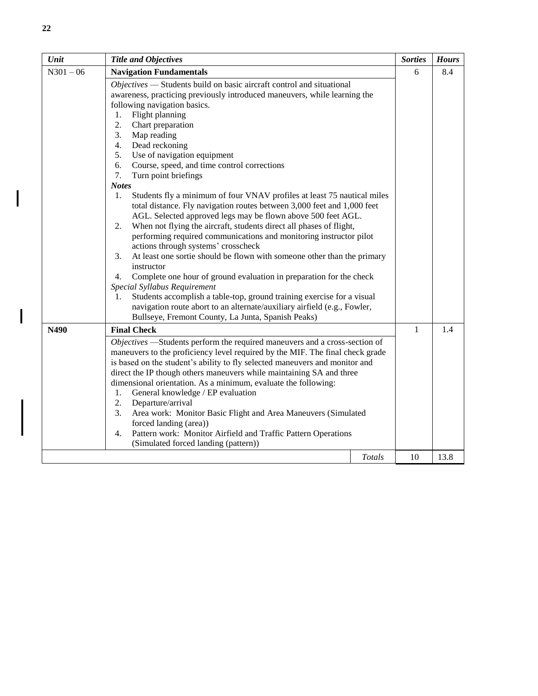| Unit                                                                                                                                                                                                                                                                                                                                                                                                                                                                                                                                                                                                                                                                       | <b>Title and Objectives</b>                                                                                                                                                                                                                                                                                                                                                                                                                                                                                                                                                                                                                                                                                                                                                                                                                                                                                                                                                                                                                                                                                                                                                                                                                                                     |               | <b>Sorties</b> | <b>Hours</b> |
|----------------------------------------------------------------------------------------------------------------------------------------------------------------------------------------------------------------------------------------------------------------------------------------------------------------------------------------------------------------------------------------------------------------------------------------------------------------------------------------------------------------------------------------------------------------------------------------------------------------------------------------------------------------------------|---------------------------------------------------------------------------------------------------------------------------------------------------------------------------------------------------------------------------------------------------------------------------------------------------------------------------------------------------------------------------------------------------------------------------------------------------------------------------------------------------------------------------------------------------------------------------------------------------------------------------------------------------------------------------------------------------------------------------------------------------------------------------------------------------------------------------------------------------------------------------------------------------------------------------------------------------------------------------------------------------------------------------------------------------------------------------------------------------------------------------------------------------------------------------------------------------------------------------------------------------------------------------------|---------------|----------------|--------------|
| $N301 - 06$                                                                                                                                                                                                                                                                                                                                                                                                                                                                                                                                                                                                                                                                | <b>Navigation Fundamentals</b>                                                                                                                                                                                                                                                                                                                                                                                                                                                                                                                                                                                                                                                                                                                                                                                                                                                                                                                                                                                                                                                                                                                                                                                                                                                  |               |                | 8.4          |
|                                                                                                                                                                                                                                                                                                                                                                                                                                                                                                                                                                                                                                                                            | Objectives — Students build on basic aircraft control and situational<br>awareness, practicing previously introduced maneuvers, while learning the<br>following navigation basics.<br>Flight planning<br>1.<br>2.<br>Chart preparation<br>3.<br>Map reading<br>4.<br>Dead reckoning<br>5.<br>Use of navigation equipment<br>6.<br>Course, speed, and time control corrections<br>7.<br>Turn point briefings<br><b>Notes</b><br>Students fly a minimum of four VNAV profiles at least 75 nautical miles<br>1.<br>total distance. Fly navigation routes between 3,000 feet and 1,000 feet<br>AGL. Selected approved legs may be flown above 500 feet AGL.<br>When not flying the aircraft, students direct all phases of flight,<br>2.<br>performing required communications and monitoring instructor pilot<br>actions through systems' crosscheck<br>3.<br>At least one sortie should be flown with someone other than the primary<br>instructor<br>Complete one hour of ground evaluation in preparation for the check<br>4.<br>Special Syllabus Requirement<br>Students accomplish a table-top, ground training exercise for a visual<br>1.<br>navigation route abort to an alternate/auxiliary airfield (e.g., Fowler,<br>Bullseye, Fremont County, La Junta, Spanish Peaks) |               | 6              |              |
| N490                                                                                                                                                                                                                                                                                                                                                                                                                                                                                                                                                                                                                                                                       | <b>Final Check</b>                                                                                                                                                                                                                                                                                                                                                                                                                                                                                                                                                                                                                                                                                                                                                                                                                                                                                                                                                                                                                                                                                                                                                                                                                                                              |               | $\mathbf{1}$   | 1.4          |
| Objectives -Students perform the required maneuvers and a cross-section of<br>maneuvers to the proficiency level required by the MIF. The final check grade<br>is based on the student's ability to fly selected maneuvers and monitor and<br>direct the IP though others maneuvers while maintaining SA and three<br>dimensional orientation. As a minimum, evaluate the following:<br>General knowledge / EP evaluation<br>1.<br>2.<br>Departure/arrival<br>3.<br>Area work: Monitor Basic Flight and Area Maneuvers (Simulated<br>forced landing (area))<br>Pattern work: Monitor Airfield and Traffic Pattern Operations<br>4.<br>(Simulated forced landing (pattern)) |                                                                                                                                                                                                                                                                                                                                                                                                                                                                                                                                                                                                                                                                                                                                                                                                                                                                                                                                                                                                                                                                                                                                                                                                                                                                                 |               |                |              |
|                                                                                                                                                                                                                                                                                                                                                                                                                                                                                                                                                                                                                                                                            |                                                                                                                                                                                                                                                                                                                                                                                                                                                                                                                                                                                                                                                                                                                                                                                                                                                                                                                                                                                                                                                                                                                                                                                                                                                                                 | <b>Totals</b> | 10             | 13.8         |

 $\overline{\phantom{a}}$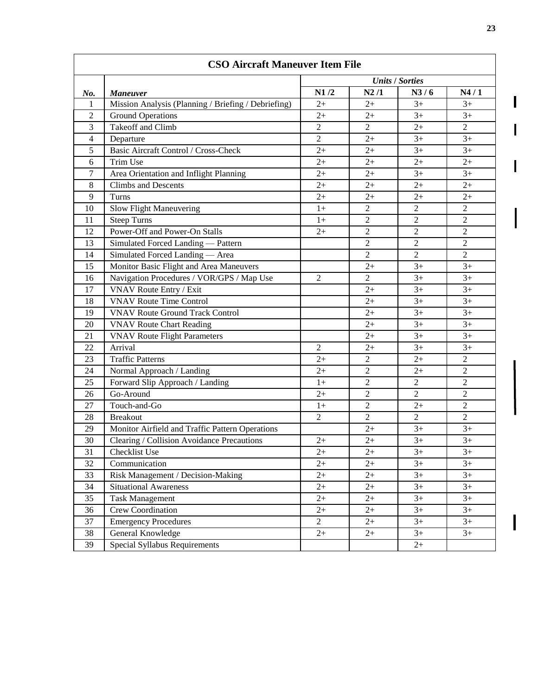| <b>CSO Aircraft Maneuver Item File</b> |                                                     |                        |                |                |                  |
|----------------------------------------|-----------------------------------------------------|------------------------|----------------|----------------|------------------|
|                                        |                                                     | <b>Units / Sorties</b> |                |                |                  |
| No.                                    | <b>Maneuver</b>                                     | N1/2                   | N2/1           | N3/6           | N4/1             |
| 1                                      | Mission Analysis (Planning / Briefing / Debriefing) | $2+$                   | $2+$           | $3+$           | $3+$             |
| $\overline{2}$                         | <b>Ground Operations</b>                            | $2+$                   | $2+$           | $3+$           | $3+$             |
| 3                                      | <b>Takeoff and Climb</b>                            | $\overline{2}$         | $\overline{2}$ | $2+$           | $\overline{2}$   |
| $\overline{4}$                         | Departure                                           | $\overline{2}$         | $2+$           | $3+$           | $3+$             |
| 5                                      | Basic Aircraft Control / Cross-Check                | $2+$                   | $2+$           | $3+$           | $3+$             |
| 6                                      | Trim Use                                            | $2+$                   | $2+$           | $2+$           | $2+$             |
| 7                                      | Area Orientation and Inflight Planning              | $2+$                   | $2+$           | $3+$           | $3+$             |
| 8                                      | <b>Climbs and Descents</b>                          | $2+$                   | $2+$           | $2+$           | $2+$             |
| 9                                      | Turns                                               | $2+$                   | $2+$           | $2+$           | $2+$             |
| 10                                     | Slow Flight Maneuvering                             | $1+$                   | $\overline{2}$ | $\overline{2}$ | $\overline{2}$   |
| 11                                     | <b>Steep Turns</b>                                  | $1+$                   | $\overline{2}$ | $\overline{2}$ | $\overline{c}$   |
| 12                                     | Power-Off and Power-On Stalls                       | $2+$                   | $\overline{c}$ | $\overline{2}$ | $\overline{c}$   |
| 13                                     | Simulated Forced Landing - Pattern                  |                        | $\overline{2}$ | $\overline{2}$ | $\overline{2}$   |
| 14                                     | Simulated Forced Landing - Area                     |                        | $\overline{2}$ | $\overline{2}$ | $\overline{2}$   |
| 15                                     | Monitor Basic Flight and Area Maneuvers             |                        | $2+$           | $3+$           | $3+$             |
| 16                                     | Navigation Procedures / VOR/GPS / Map Use           | $\overline{2}$         | $\overline{2}$ | $3+$           | $3+$             |
| 17                                     | VNAV Route Entry / Exit                             |                        | $2+$           | $3+$           | $3+$             |
| 18                                     | <b>VNAV Route Time Control</b>                      |                        | $2+$           | $3+$           | $3+$             |
| 19                                     | <b>VNAV Route Ground Track Control</b>              |                        | $2+$           | $3+$           | $3+$             |
| 20                                     | <b>VNAV Route Chart Reading</b>                     |                        | $2+$           | $3+$           | $3+$             |
| 21                                     | <b>VNAV Route Flight Parameters</b>                 |                        | $2+$           | $3+$           | $3+$             |
| 22                                     | Arrival                                             | $\overline{2}$         | $2+$           | $3+$           | $3+$             |
| 23                                     | <b>Traffic Patterns</b>                             | $2+$                   | $\overline{2}$ | $2+$           | $\overline{2}$   |
| 24                                     | Normal Approach / Landing                           | $2+$                   | $\overline{2}$ | $2+$           | $\overline{2}$   |
| 25                                     | Forward Slip Approach / Landing                     | $1+$                   | $\overline{2}$ | $\mathbf{2}$   | $\boldsymbol{2}$ |
| 26                                     | Go-Around                                           | $2+$                   | $\overline{c}$ | $\overline{2}$ | $\overline{2}$   |
| 27                                     | Touch-and-Go                                        | $1+$                   | $\overline{c}$ | $2+$           | $\overline{2}$   |
| 28                                     | <b>Breakout</b>                                     | $\overline{2}$         | $\overline{2}$ | $\overline{2}$ | $\overline{2}$   |
| 29                                     | Monitor Airfield and Traffic Pattern Operations     |                        | $2+$           | $3+$           | $3+$             |
| 30                                     | Clearing / Collision Avoidance Precautions          | $2+$                   | $2+$           | $3+$           | $3+$             |
| 31                                     | Checklist Use                                       | $2+$                   | $2+$           | $3+$           | $3+$             |
| 32                                     | Communication                                       | $2+$                   | $2+$           | $3+$           | $3+$             |
| 33                                     | Risk Management / Decision-Making                   | $2+$                   | $2+$           | $3+$           | $3+$             |
| 34                                     | <b>Situational Awareness</b>                        | $2+$                   | $2+$           | $3+$           | $3+$             |
| 35                                     | <b>Task Management</b>                              | $2+$                   | $2+$           | $3+$           | $3+$             |
| 36                                     | Crew Coordination                                   | $2+$                   | $2+$           | $3+$           | $3+$             |
| 37                                     | <b>Emergency Procedures</b>                         | $\overline{2}$         | $2+$           | $3+$           | $3+$             |
| 38                                     | General Knowledge                                   | $2^{+}$                | $2+$           | $3+$           | $3+$             |
| 39                                     | Special Syllabus Requirements                       |                        |                | $2+$           |                  |

 $\mathbf{I}$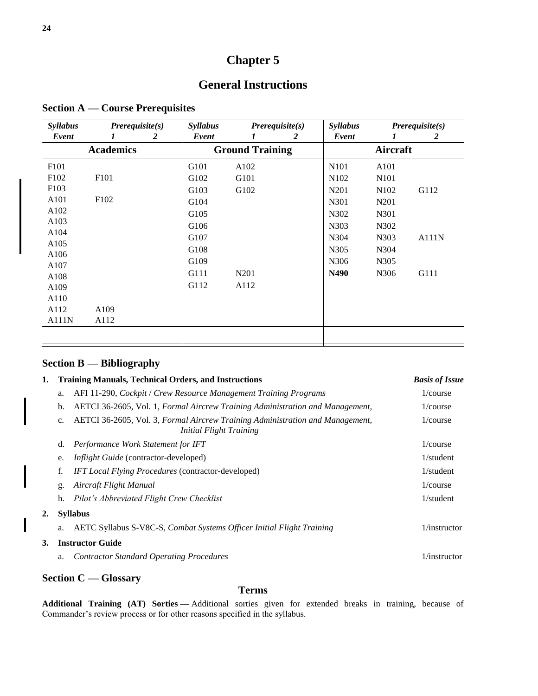# **General Instructions**

<span id="page-27-1"></span><span id="page-27-0"></span>

| <b>Syllabus</b>  | Prerequire(s)    | <b>Syllabus</b> |                        | $Prerequisite(s)$ | <b>Syllabus</b>   |                               | $Prerequisite(s)$ |
|------------------|------------------|-----------------|------------------------|-------------------|-------------------|-------------------------------|-------------------|
| Event            | 2<br>1           | Event           | 1                      | 2                 | Event             | 1                             | 2                 |
|                  | <b>Academics</b> |                 | <b>Ground Training</b> |                   |                   | Aircraft                      |                   |
| F101             |                  | G101            | A102                   |                   | N <sub>101</sub>  | A101                          |                   |
| F <sub>102</sub> | F <sub>101</sub> | G102            | G101                   |                   | N <sub>1</sub> 02 | N <sub>1</sub> 01             |                   |
| F <sub>103</sub> |                  | G103            | G102                   |                   | N201              | N <sub>1</sub> 0 <sub>2</sub> | G112              |
| A101             | F <sub>102</sub> | G104            |                        |                   | N301              | N <sub>2</sub> 01             |                   |
| A102             |                  | G105            |                        |                   | N302              | N301                          |                   |
| A103             |                  | G106            |                        |                   | N303              | N302                          |                   |
| A104             |                  | G107            |                        |                   | N304              | N303                          | A111N             |
| A105             |                  | G108            |                        |                   | N305              | N304                          |                   |
| A106             |                  | G109            |                        |                   | N306              | N305                          |                   |
| A107             |                  | G111            | N <sub>2</sub> 01      |                   | N490              | N306                          | G111              |
| A108<br>A109     |                  | G112            | A112                   |                   |                   |                               |                   |
| A110             |                  |                 |                        |                   |                   |                               |                   |
| A112             | A109             |                 |                        |                   |                   |                               |                   |
| A111N            | A112             |                 |                        |                   |                   |                               |                   |
|                  |                  |                 |                        |                   |                   |                               |                   |

### <span id="page-27-2"></span>**Section B — Bibliography**

| 1. |                         | <b>Training Manuals, Technical Orders, and Instructions</b>                                              | <b>Basis of Issue</b> |  |  |  |
|----|-------------------------|----------------------------------------------------------------------------------------------------------|-----------------------|--|--|--|
|    | a.                      | AFI 11-290, Cockpit / Crew Resource Management Training Programs                                         | 1/course              |  |  |  |
|    | b.                      | AETCI 36-2605, Vol. 1, Formal Aircrew Training Administration and Management,                            | 1/course              |  |  |  |
|    | $c_{\cdot}$             | AETCI 36-2605, Vol. 3, Formal Aircrew Training Administration and Management,<br>Initial Flight Training | 1/course              |  |  |  |
|    | d.                      | Performance Work Statement for IFT                                                                       | 1/course              |  |  |  |
|    | e.                      | <i>Inflight Guide</i> (contractor-developed)                                                             | $1$ /student          |  |  |  |
|    | f.                      | <b>IFT</b> Local Flying Procedures (contractor-developed)                                                | $1$ /student          |  |  |  |
|    | g.                      | Aircraft Flight Manual                                                                                   | 1/course              |  |  |  |
|    | h.                      | Pilot's Abbreviated Flight Crew Checklist                                                                | $1$ /student          |  |  |  |
| 2. |                         | <b>Syllabus</b>                                                                                          |                       |  |  |  |
|    | a.                      | AETC Syllabus S-V8C-S, Combat Systems Officer Initial Flight Training                                    | $1/$ instructor       |  |  |  |
| 3. | <b>Instructor Guide</b> |                                                                                                          |                       |  |  |  |
|    | a.                      | <b>Contractor Standard Operating Procedures</b>                                                          | $1/$ instructor       |  |  |  |
|    |                         |                                                                                                          |                       |  |  |  |

### <span id="page-27-3"></span>**Section C — Glossary**

 $\overline{\phantom{a}}$ 

 $\overline{\mathbf{I}}$ 

#### **Terms**

**Additional Training (AT) Sorties —** Additional sorties given for extended breaks in training, because of Commander's review process or for other reasons specified in the syllabus.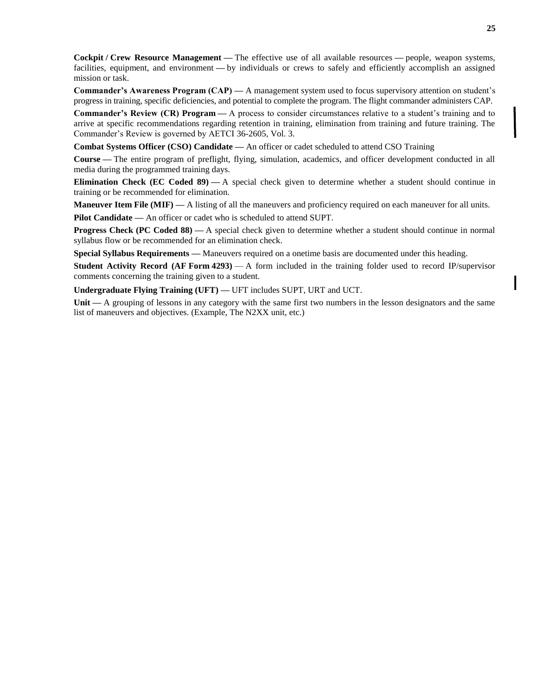**Cockpit / Crew Resource Management —** The effective use of all available resources **—** people, weapon systems, facilities, equipment, and environment **—** by individuals or crews to safely and efficiently accomplish an assigned mission or task.

**Commander's Awareness Program (CAP) —** A management system used to focus supervisory attention on student's progress in training, specific deficiencies, and potential to complete the program. The flight commander administers CAP.

**Commander's Review (CR) Program —** A process to consider circumstances relative to a student's training and to arrive at specific recommendations regarding retention in training, elimination from training and future training. The Commander's Review is governed by AETCI 36-2605, Vol. 3.

**Combat Systems Officer (CSO) Candidate —** An officer or cadet scheduled to attend CSO Training

**Course —** The entire program of preflight, flying, simulation, academics, and officer development conducted in all media during the programmed training days.

**Elimination Check (EC Coded 89) —** A special check given to determine whether a student should continue in training or be recommended for elimination.

**Maneuver Item File (MIF) —** A listing of all the maneuvers and proficiency required on each maneuver for all units.

**Pilot Candidate —** An officer or cadet who is scheduled to attend SUPT.

**Progress Check (PC Coded 88) —** A special check given to determine whether a student should continue in normal syllabus flow or be recommended for an elimination check.

**Special Syllabus Requirements —** Maneuvers required on a onetime basis are documented under this heading.

**Student Activity Record (AF Form 4293)** — A form included in the training folder used to record IP/supervisor comments concerning the training given to a student.

**Undergraduate Flying Training (UFT) —** UFT includes SUPT, URT and UCT.

**Unit —** A grouping of lessons in any category with the same first two numbers in the lesson designators and the same list of maneuvers and objectives. (Example, The N2XX unit, etc.)